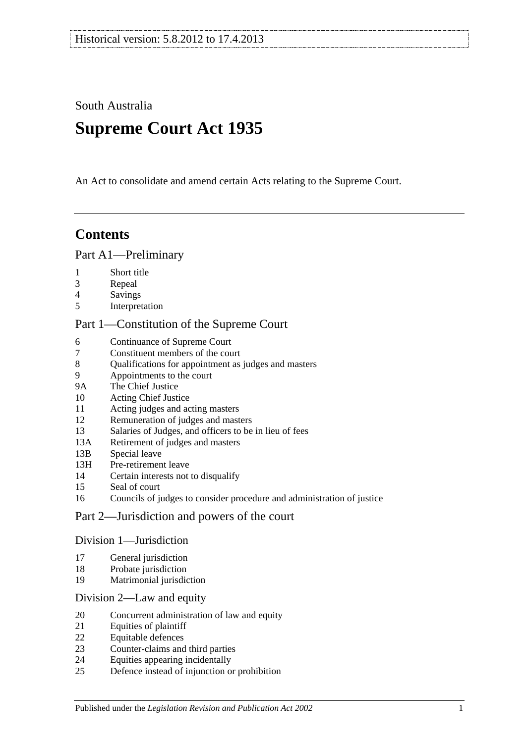South Australia

# **Supreme Court Act 1935**

An Act to consolidate and amend certain Acts relating to the Supreme Court.

# **Contents**

## [Part A1—Preliminary](#page-3-0)

- [Short title](#page-3-1)
- [Repeal](#page-3-2)
- [Savings](#page-3-3)
- [Interpretation](#page-3-4)

## [Part 1—Constitution of the Supreme Court](#page-5-0)

- [Continuance of](#page-5-1) Supreme Court<br>7 Constituent members of the cou
- [Constituent members of the court](#page-5-2)
- [Qualifications for appointment as judges and masters](#page-5-3)
- [Appointments to the court](#page-5-4)
- 9A [The Chief Justice](#page-6-0)
- [Acting Chief Justice](#page-6-1)
- [Acting judges and acting masters](#page-6-2)
- [Remuneration of judges and masters](#page-6-3)
- [Salaries of Judges, and officers to be in lieu of fees](#page-7-0)
- 13A [Retirement of judges and masters](#page-7-1)
- 13B [Special leave](#page-7-2)
- 13H [Pre-retirement leave](#page-7-3)
- [Certain interests not to disqualify](#page-8-0)
- [Seal of court](#page-9-0)
- [Councils of judges to consider procedure and administration of justice](#page-9-1)

## [Part 2—Jurisdiction and powers of the court](#page-9-2)

#### [Division 1—Jurisdiction](#page-9-3)

- [General jurisdiction](#page-9-4)
- [Probate jurisdiction](#page-10-0)
- [Matrimonial jurisdiction](#page-10-1)

#### [Division 2—Law and equity](#page-10-2)

- [Concurrent administration of law and equity](#page-10-3)
- [Equities of plaintiff](#page-10-4)
- [Equitable defences](#page-11-0)
- [Counter-claims and third parties](#page-11-1)
- [Equities appearing incidentally](#page-11-2)
- [Defence instead of injunction or prohibition](#page-11-3)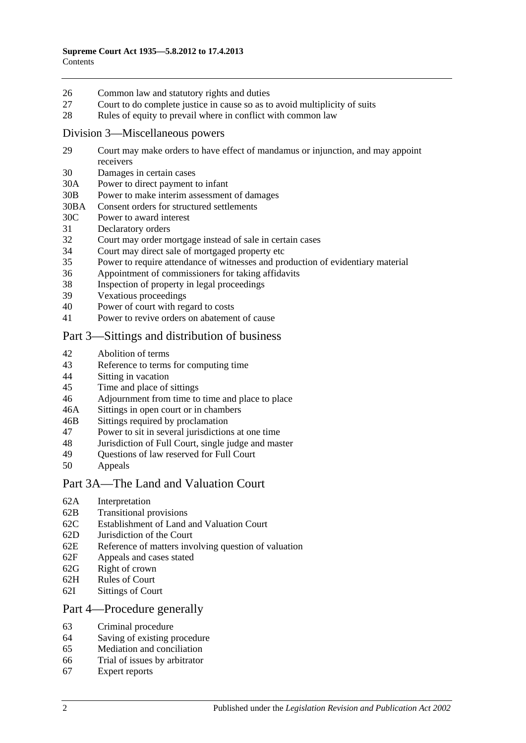- 26 [Common law and statutory rights and duties](#page-12-0)
- 27 [Court to do complete justice in cause so as to avoid multiplicity of suits](#page-12-1)
- 28 [Rules of equity to prevail where in conflict with common law](#page-12-2)

#### [Division 3—Miscellaneous powers](#page-12-3)

- 29 [Court may make orders to have effect of mandamus or injunction, and may appoint](#page-12-4)  [receivers](#page-12-4)
- 30 [Damages in certain cases](#page-13-0)
- 30A [Power to direct payment to infant](#page-13-1)
- 30B [Power to make interim assessment of damages](#page-13-2)
- 30BA [Consent orders for structured settlements](#page-16-0)
- 30C [Power to award interest](#page-16-1)
- 31 [Declaratory orders](#page-17-0)
- 32 [Court may order mortgage instead of sale in certain cases](#page-17-1)
- 34 [Court may direct sale of mortgaged property etc](#page-17-2)
- 35 [Power to require attendance of witnesses and production of evidentiary material](#page-17-3)
- 36 [Appointment of commissioners for taking affidavits](#page-18-0)
- 38 [Inspection of property in legal proceedings](#page-18-1)
- 39 [Vexatious proceedings](#page-18-2)
- 40 [Power of court with regard to costs](#page-19-0)
- 41 [Power to revive orders on abatement of cause](#page-19-1)

## [Part 3—Sittings and distribution of business](#page-19-2)

- 42 [Abolition of terms](#page-19-3)
- 43 [Reference to terms for computing time](#page-19-4)
- 44 Sitting [in vacation](#page-19-5)
- 45 [Time and place of sittings](#page-20-0)
- 46 [Adjournment from time to time and place to place](#page-20-1)
- 46A [Sittings in open court or in chambers](#page-20-2)
- 46B [Sittings required by proclamation](#page-20-3)
- 47 [Power to sit in several jurisdictions at one time](#page-20-4)
- 48 [Jurisdiction of Full Court, single judge and master](#page-20-5)
- 49 [Questions of law reserved for Full Court](#page-21-0)<br>50 Anneals
- **[Appeals](#page-21-1)**

#### [Part 3A—The Land and Valuation Court](#page-22-0)

- 62A [Interpretation](#page-22-1)
- 62B [Transitional provisions](#page-22-2)
- 62C [Establishment of Land and Valuation Court](#page-23-0)
- 62D [Jurisdiction of the Court](#page-23-1)
- 62E [Reference of matters involving question of valuation](#page-24-0)
- 62F [Appeals and cases stated](#page-24-1)
- 62G [Right of crown](#page-24-2)
- 62H [Rules of Court](#page-24-3)
- 62I [Sittings of Court](#page-25-0)

#### [Part 4—Procedure generally](#page-25-1)

- 63 [Criminal procedure](#page-25-2)
- 64 [Saving of existing procedure](#page-25-3)
- 65 [Mediation and conciliation](#page-25-4)
- 66 [Trial of issues by arbitrator](#page-26-0)
- 67 [Expert reports](#page-26-1)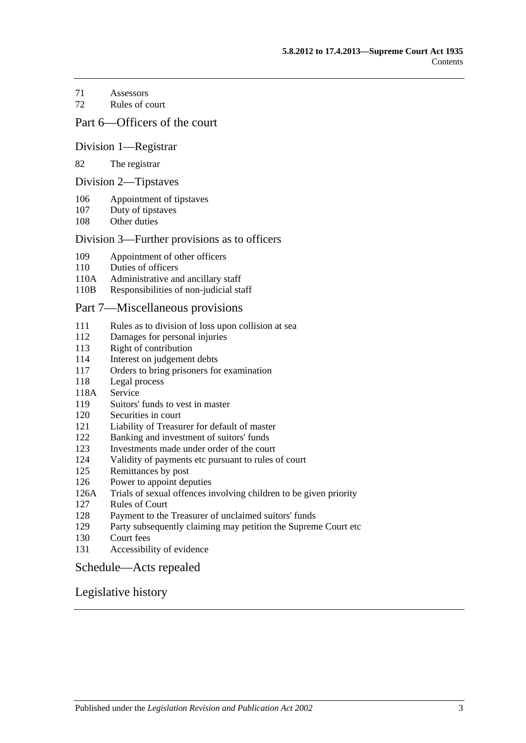[Assessors](#page-26-2)

[Rules of court](#page-27-0)

### [Part 6—Officers of the court](#page-28-0)

#### [Division 1—Registrar](#page-28-1)

#### [The registrar](#page-28-2)

#### [Division 2—Tipstaves](#page-28-3)

- [Appointment of tipstaves](#page-28-4)
- [Duty of tipstaves](#page-29-0)
- [Other duties](#page-29-1)

#### [Division 3—Further provisions as to officers](#page-29-2)

- [Appointment of other officers](#page-29-3)
- [Duties of officers](#page-29-4)
- 110A [Administrative and ancillary staff](#page-29-5)
- 110B [Responsibilities of non-judicial staff](#page-29-6)

#### [Part 7—Miscellaneous provisions](#page-30-0)

- [Rules as to division of loss upon collision at sea](#page-30-1)
- [Damages for personal injuries](#page-30-2)<br>113 Right of contribution
- [Right of contribution](#page-30-3)
- [Interest on judgement debts](#page-31-0)
- [Orders to bring prisoners for examination](#page-31-1)
- [Legal process](#page-31-2)
- 118A [Service](#page-31-3)
- [Suitors' funds to vest in master](#page-31-4)
- [Securities in court](#page-32-0)
- [Liability of Treasurer for default of master](#page-32-1)
- [Banking and investment of suitors' funds](#page-32-2)
- [Investments made under order of the court](#page-32-3)
- [Validity of payments etc pursuant to rules of court](#page-32-4)
- [Remittances by post](#page-32-5)
- [Power to appoint deputies](#page-33-0)
- 126A [Trials of sexual offences involving children to be given priority](#page-33-1)
- [Rules of Court](#page-33-2)
- [Payment to the Treasurer of unclaimed suitors' funds](#page-33-3)
- [Party subsequently claiming may petition the Supreme Court etc](#page-34-0)
- [Court fees](#page-34-1)
- [Accessibility of evidence](#page-34-2)

#### [Schedule—Acts repealed](#page-35-0)

### [Legislative history](#page-38-0)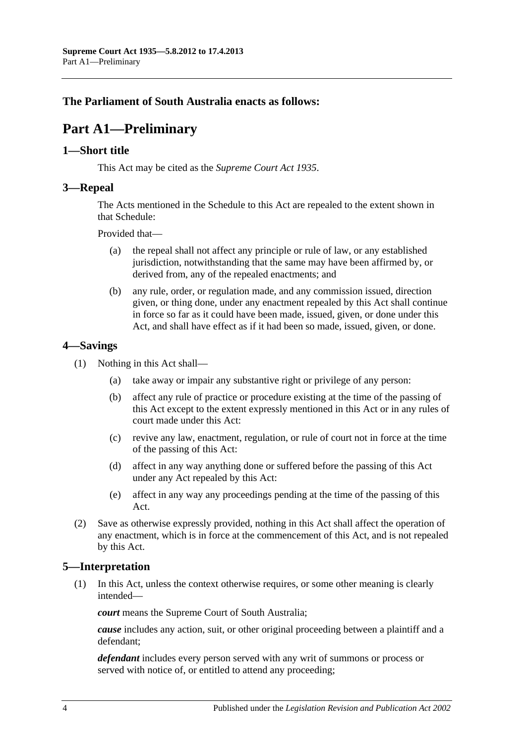## <span id="page-3-0"></span>**The Parliament of South Australia enacts as follows:**

# **Part A1—Preliminary**

### <span id="page-3-1"></span>**1—Short title**

This Act may be cited as the *Supreme Court Act 1935*.

### <span id="page-3-2"></span>**3—Repeal**

The Acts mentioned in the [Schedule](#page-35-0) to this Act are repealed to the extent shown in that [Schedule:](#page-35-0)

Provided that—

- (a) the repeal shall not affect any principle or rule of law, or any established jurisdiction, notwithstanding that the same may have been affirmed by, or derived from, any of the repealed enactments; and
- (b) any rule, order, or regulation made, and any commission issued, direction given, or thing done, under any enactment repealed by this Act shall continue in force so far as it could have been made, issued, given, or done under this Act, and shall have effect as if it had been so made, issued, given, or done.

### <span id="page-3-3"></span>**4—Savings**

- (1) Nothing in this Act shall—
	- (a) take away or impair any substantive right or privilege of any person:
	- (b) affect any rule of practice or procedure existing at the time of the passing of this Act except to the extent expressly mentioned in this Act or in any rules of court made under this Act:
	- (c) revive any law, enactment, regulation, or rule of court not in force at the time of the passing of this Act:
	- (d) affect in any way anything done or suffered before the passing of this Act under any Act repealed by this Act:
	- (e) affect in any way any proceedings pending at the time of the passing of this Act.
- (2) Save as otherwise expressly provided, nothing in this Act shall affect the operation of any enactment, which is in force at the commencement of this Act, and is not repealed by this Act.

## <span id="page-3-4"></span>**5—Interpretation**

(1) In this Act, unless the context otherwise requires, or some other meaning is clearly intended—

*court* means the Supreme Court of South Australia;

*cause* includes any action, suit, or other original proceeding between a plaintiff and a defendant;

*defendant* includes every person served with any writ of summons or process or served with notice of, or entitled to attend any proceeding;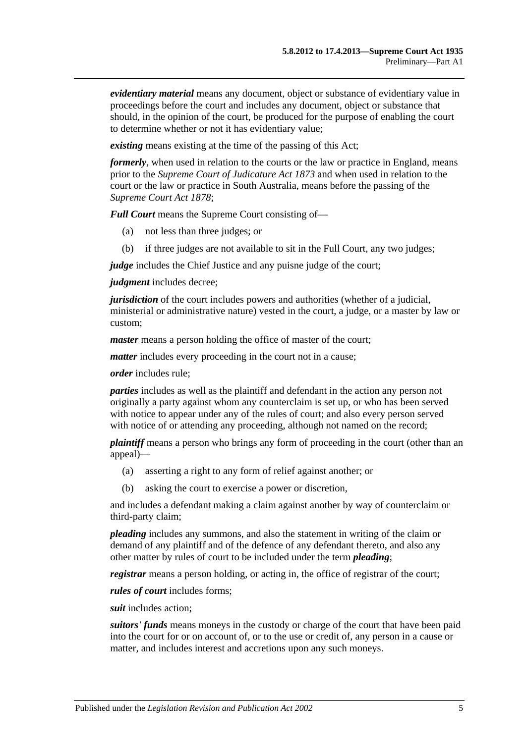*evidentiary material* means any document, object or substance of evidentiary value in proceedings before the court and includes any document, object or substance that should, in the opinion of the court, be produced for the purpose of enabling the court to determine whether or not it has evidentiary value;

*existing* means existing at the time of the passing of this Act;

*formerly*, when used in relation to the courts or the law or practice in England, means prior to the *[Supreme Court of Judicature Act](http://www.legislation.sa.gov.au/index.aspx?action=legref&type=act&legtitle=Supreme%20Court%20of%20Judicature%20Act%201873) 1873* and when used in relation to the court or the law or practice in South Australia, means before the passing of the *[Supreme Court Act](http://www.legislation.sa.gov.au/index.aspx?action=legref&type=act&legtitle=Supreme%20Court%20Act%201878) 1878*;

*Full Court* means the Supreme Court consisting of—

- (a) not less than three judges; or
- (b) if three judges are not available to sit in the Full Court, any two judges;

*judge* includes the Chief Justice and any puisne judge of the court;

*judgment* includes decree;

*jurisdiction* of the court includes powers and authorities (whether of a judicial, ministerial or administrative nature) vested in the court, a judge, or a master by law or custom;

*master* means a person holding the office of master of the court;

*matter* includes every proceeding in the court not in a cause;

*order* includes rule;

*parties* includes as well as the plaintiff and defendant in the action any person not originally a party against whom any counterclaim is set up, or who has been served with notice to appear under any of the rules of court; and also every person served with notice of or attending any proceeding, although not named on the record;

*plaintiff* means a person who brings any form of proceeding in the court (other than an appeal)—

- (a) asserting a right to any form of relief against another; or
- (b) asking the court to exercise a power or discretion,

and includes a defendant making a claim against another by way of counterclaim or third-party claim;

*pleading* includes any summons, and also the statement in writing of the claim or demand of any plaintiff and of the defence of any defendant thereto, and also any other matter by rules of court to be included under the term *pleading*;

*registrar* means a person holding, or acting in, the office of registrar of the court;

*rules of court* includes forms;

*suit* includes action;

*suitors' funds* means moneys in the custody or charge of the court that have been paid into the court for or on account of, or to the use or credit of, any person in a cause or matter, and includes interest and accretions upon any such moneys.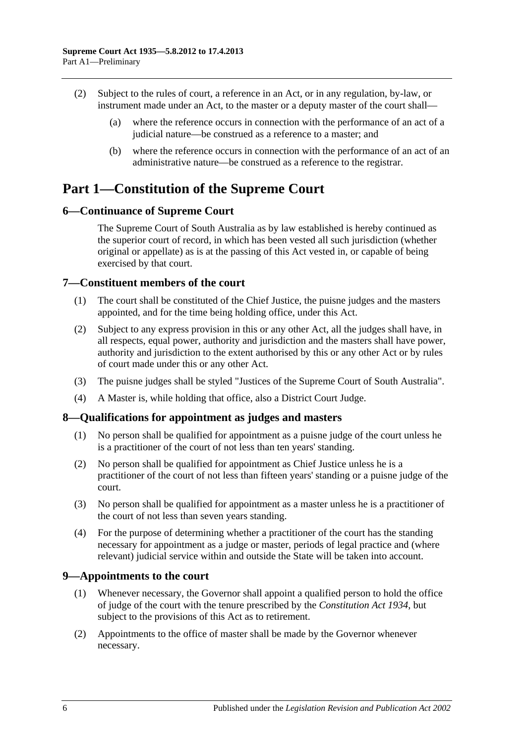- (2) Subject to the rules of court, a reference in an Act, or in any regulation, by-law, or instrument made under an Act, to the master or a deputy master of the court shall—
	- (a) where the reference occurs in connection with the performance of an act of a judicial nature—be construed as a reference to a master; and
	- (b) where the reference occurs in connection with the performance of an act of an administrative nature—be construed as a reference to the registrar.

## <span id="page-5-0"></span>**Part 1—Constitution of the Supreme Court**

## <span id="page-5-1"></span>**6—Continuance of Supreme Court**

The Supreme Court of South Australia as by law established is hereby continued as the superior court of record, in which has been vested all such jurisdiction (whether original or appellate) as is at the passing of this Act vested in, or capable of being exercised by that court.

## <span id="page-5-2"></span>**7—Constituent members of the court**

- (1) The court shall be constituted of the Chief Justice, the puisne judges and the masters appointed, and for the time being holding office, under this Act.
- (2) Subject to any express provision in this or any other Act, all the judges shall have, in all respects, equal power, authority and jurisdiction and the masters shall have power, authority and jurisdiction to the extent authorised by this or any other Act or by rules of court made under this or any other Act.
- (3) The puisne judges shall be styled "Justices of the Supreme Court of South Australia".
- (4) A Master is, while holding that office, also a District Court Judge.

## <span id="page-5-3"></span>**8—Qualifications for appointment as judges and masters**

- (1) No person shall be qualified for appointment as a puisne judge of the court unless he is a practitioner of the court of not less than ten years' standing.
- (2) No person shall be qualified for appointment as Chief Justice unless he is a practitioner of the court of not less than fifteen years' standing or a puisne judge of the court.
- (3) No person shall be qualified for appointment as a master unless he is a practitioner of the court of not less than seven years standing.
- (4) For the purpose of determining whether a practitioner of the court has the standing necessary for appointment as a judge or master, periods of legal practice and (where relevant) judicial service within and outside the State will be taken into account.

## <span id="page-5-4"></span>**9—Appointments to the court**

- (1) Whenever necessary, the Governor shall appoint a qualified person to hold the office of judge of the court with the tenure prescribed by the *[Constitution Act](http://www.legislation.sa.gov.au/index.aspx?action=legref&type=act&legtitle=Constitution%20Act%201934) 1934*, but subject to the provisions of this Act as to retirement.
- (2) Appointments to the office of master shall be made by the Governor whenever necessary.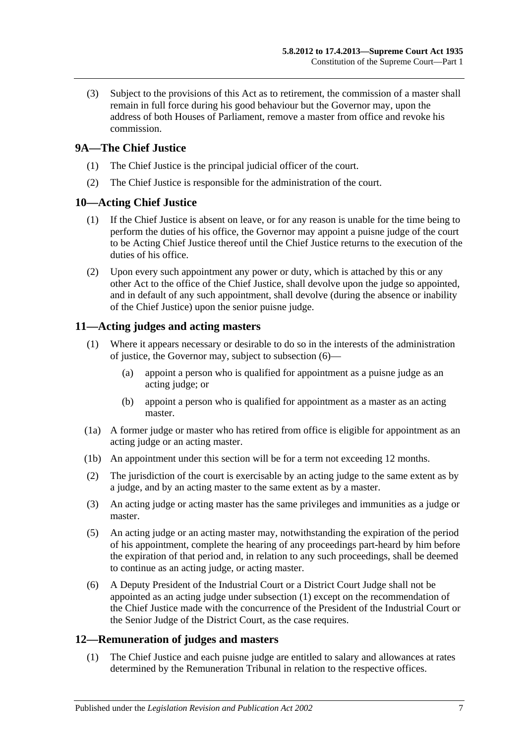(3) Subject to the provisions of this Act as to retirement, the commission of a master shall remain in full force during his good behaviour but the Governor may, upon the address of both Houses of Parliament, remove a master from office and revoke his commission.

## <span id="page-6-0"></span>**9A—The Chief Justice**

- (1) The Chief Justice is the principal judicial officer of the court.
- (2) The Chief Justice is responsible for the administration of the court.

## <span id="page-6-1"></span>**10—Acting Chief Justice**

- (1) If the Chief Justice is absent on leave, or for any reason is unable for the time being to perform the duties of his office, the Governor may appoint a puisne judge of the court to be Acting Chief Justice thereof until the Chief Justice returns to the execution of the duties of his office.
- (2) Upon every such appointment any power or duty, which is attached by this or any other Act to the office of the Chief Justice, shall devolve upon the judge so appointed, and in default of any such appointment, shall devolve (during the absence or inability of the Chief Justice) upon the senior puisne judge.

## <span id="page-6-5"></span><span id="page-6-2"></span>**11—Acting judges and acting masters**

- (1) Where it appears necessary or desirable to do so in the interests of the administration of justice, the Governor may, subject to [subsection](#page-6-4) (6)—
	- (a) appoint a person who is qualified for appointment as a puisne judge as an acting judge; or
	- (b) appoint a person who is qualified for appointment as a master as an acting master.
- (1a) A former judge or master who has retired from office is eligible for appointment as an acting judge or an acting master.
- (1b) An appointment under this section will be for a term not exceeding 12 months.
- (2) The jurisdiction of the court is exercisable by an acting judge to the same extent as by a judge, and by an acting master to the same extent as by a master.
- (3) An acting judge or acting master has the same privileges and immunities as a judge or master.
- (5) An acting judge or an acting master may, notwithstanding the expiration of the period of his appointment, complete the hearing of any proceedings part-heard by him before the expiration of that period and, in relation to any such proceedings, shall be deemed to continue as an acting judge, or acting master.
- <span id="page-6-4"></span>(6) A Deputy President of the Industrial Court or a District Court Judge shall not be appointed as an acting judge under [subsection](#page-6-5) (1) except on the recommendation of the Chief Justice made with the concurrence of the President of the Industrial Court or the Senior Judge of the District Court, as the case requires.

## <span id="page-6-3"></span>**12—Remuneration of judges and masters**

(1) The Chief Justice and each puisne judge are entitled to salary and allowances at rates determined by the Remuneration Tribunal in relation to the respective offices.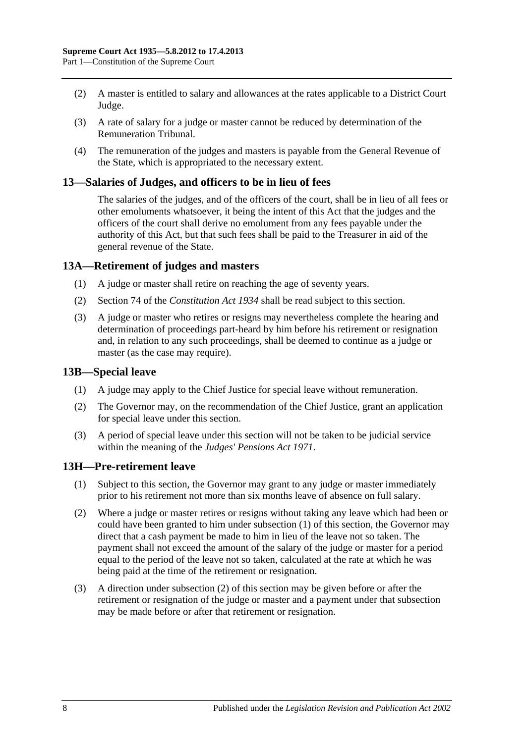- (2) A master is entitled to salary and allowances at the rates applicable to a District Court Judge.
- (3) A rate of salary for a judge or master cannot be reduced by determination of the Remuneration Tribunal.
- (4) The remuneration of the judges and masters is payable from the General Revenue of the State, which is appropriated to the necessary extent.

#### <span id="page-7-0"></span>**13—Salaries of Judges, and officers to be in lieu of fees**

The salaries of the judges, and of the officers of the court, shall be in lieu of all fees or other emoluments whatsoever, it being the intent of this Act that the judges and the officers of the court shall derive no emolument from any fees payable under the authority of this Act, but that such fees shall be paid to the Treasurer in aid of the general revenue of the State.

### <span id="page-7-1"></span>**13A—Retirement of judges and masters**

- (1) A judge or master shall retire on reaching the age of seventy years.
- (2) Section 74 of the *[Constitution Act](http://www.legislation.sa.gov.au/index.aspx?action=legref&type=act&legtitle=Constitution%20Act%201934) 1934* shall be read subject to this section.
- (3) A judge or master who retires or resigns may nevertheless complete the hearing and determination of proceedings part-heard by him before his retirement or resignation and, in relation to any such proceedings, shall be deemed to continue as a judge or master (as the case may require).

#### <span id="page-7-2"></span>**13B—Special leave**

- (1) A judge may apply to the Chief Justice for special leave without remuneration.
- (2) The Governor may, on the recommendation of the Chief Justice, grant an application for special leave under this section.
- (3) A period of special leave under this section will not be taken to be judicial service within the meaning of the *[Judges' Pensions Act](http://www.legislation.sa.gov.au/index.aspx?action=legref&type=act&legtitle=Judges%20Pensions%20Act%201971) 1971*.

#### <span id="page-7-4"></span><span id="page-7-3"></span>**13H—Pre-retirement leave**

- (1) Subject to this section, the Governor may grant to any judge or master immediately prior to his retirement not more than six months leave of absence on full salary.
- <span id="page-7-5"></span>(2) Where a judge or master retires or resigns without taking any leave which had been or could have been granted to him under [subsection](#page-7-4) (1) of this section, the Governor may direct that a cash payment be made to him in lieu of the leave not so taken. The payment shall not exceed the amount of the salary of the judge or master for a period equal to the period of the leave not so taken, calculated at the rate at which he was being paid at the time of the retirement or resignation.
- (3) A direction under [subsection](#page-7-5) (2) of this section may be given before or after the retirement or resignation of the judge or master and a payment under that subsection may be made before or after that retirement or resignation.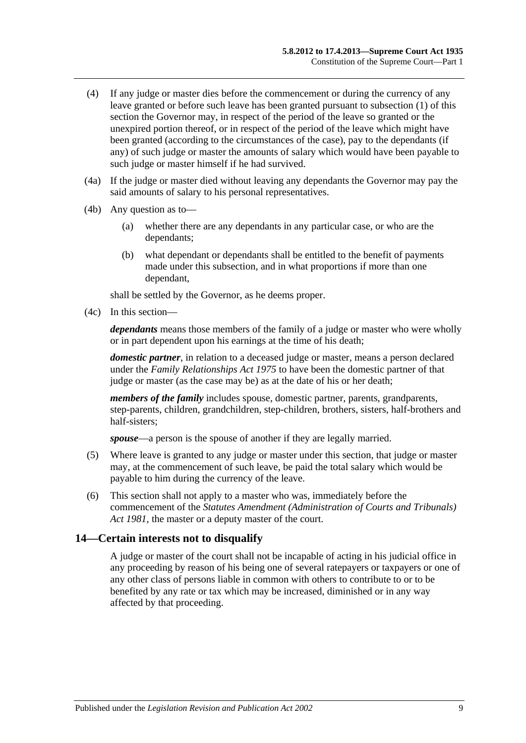- (4) If any judge or master dies before the commencement or during the currency of any leave granted or before such leave has been granted pursuant to [subsection](#page-7-4) (1) of this section the Governor may, in respect of the period of the leave so granted or the unexpired portion thereof, or in respect of the period of the leave which might have been granted (according to the circumstances of the case), pay to the dependants (if any) of such judge or master the amounts of salary which would have been payable to such judge or master himself if he had survived.
- (4a) If the judge or master died without leaving any dependants the Governor may pay the said amounts of salary to his personal representatives.
- (4b) Any question as to—
	- (a) whether there are any dependants in any particular case, or who are the dependants;
	- (b) what dependant or dependants shall be entitled to the benefit of payments made under this subsection, and in what proportions if more than one dependant,

shall be settled by the Governor, as he deems proper.

(4c) In this section—

*dependants* means those members of the family of a judge or master who were wholly or in part dependent upon his earnings at the time of his death;

*domestic partner*, in relation to a deceased judge or master, means a person declared under the *[Family Relationships Act](http://www.legislation.sa.gov.au/index.aspx?action=legref&type=act&legtitle=Family%20Relationships%20Act%201975) 1975* to have been the domestic partner of that judge or master (as the case may be) as at the date of his or her death;

*members of the family* includes spouse, domestic partner, parents, grandparents, step-parents, children, grandchildren, step-children, brothers, sisters, half-brothers and half-sisters;

*spouse*—a person is the spouse of another if they are legally married.

- (5) Where leave is granted to any judge or master under this section, that judge or master may, at the commencement of such leave, be paid the total salary which would be payable to him during the currency of the leave.
- (6) This section shall not apply to a master who was, immediately before the commencement of the *[Statutes Amendment \(Administration of Courts and Tribunals\)](http://www.legislation.sa.gov.au/index.aspx?action=legref&type=act&legtitle=Statutes%20Amendment%20(Administration%20of%20Courts%20and%20Tribunals)%20Act%201981)  Act [1981](http://www.legislation.sa.gov.au/index.aspx?action=legref&type=act&legtitle=Statutes%20Amendment%20(Administration%20of%20Courts%20and%20Tribunals)%20Act%201981)*, the master or a deputy master of the court.

### <span id="page-8-0"></span>**14—Certain interests not to disqualify**

A judge or master of the court shall not be incapable of acting in his judicial office in any proceeding by reason of his being one of several ratepayers or taxpayers or one of any other class of persons liable in common with others to contribute to or to be benefited by any rate or tax which may be increased, diminished or in any way affected by that proceeding.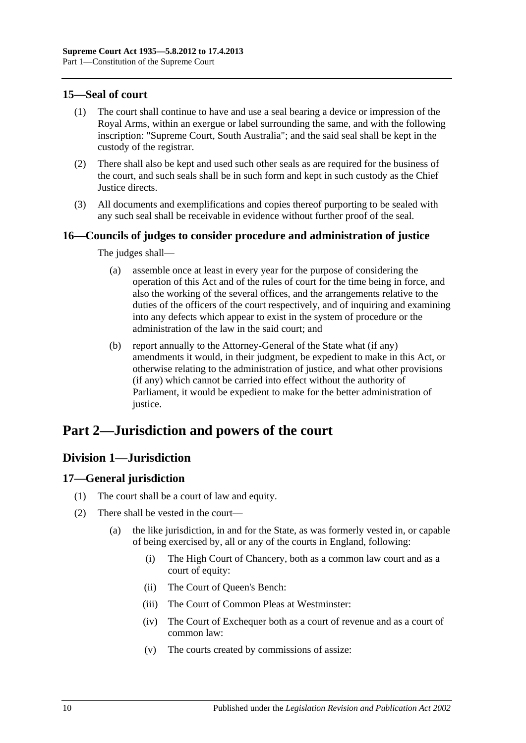## <span id="page-9-0"></span>**15—Seal of court**

- (1) The court shall continue to have and use a seal bearing a device or impression of the Royal Arms, within an exergue or label surrounding the same, and with the following inscription: "Supreme Court, South Australia"; and the said seal shall be kept in the custody of the registrar.
- (2) There shall also be kept and used such other seals as are required for the business of the court, and such seals shall be in such form and kept in such custody as the Chief Justice directs.
- (3) All documents and exemplifications and copies thereof purporting to be sealed with any such seal shall be receivable in evidence without further proof of the seal.

## <span id="page-9-1"></span>**16—Councils of judges to consider procedure and administration of justice**

The judges shall—

- (a) assemble once at least in every year for the purpose of considering the operation of this Act and of the rules of court for the time being in force, and also the working of the several offices, and the arrangements relative to the duties of the officers of the court respectively, and of inquiring and examining into any defects which appear to exist in the system of procedure or the administration of the law in the said court; and
- (b) report annually to the Attorney-General of the State what (if any) amendments it would, in their judgment, be expedient to make in this Act, or otherwise relating to the administration of justice, and what other provisions (if any) which cannot be carried into effect without the authority of Parliament, it would be expedient to make for the better administration of justice.

# <span id="page-9-3"></span><span id="page-9-2"></span>**Part 2—Jurisdiction and powers of the court**

## **Division 1—Jurisdiction**

## <span id="page-9-4"></span>**17—General jurisdiction**

- (1) The court shall be a court of law and equity.
- (2) There shall be vested in the court—
	- (a) the like jurisdiction, in and for the State, as was formerly vested in, or capable of being exercised by, all or any of the courts in England, following:
		- (i) The High Court of Chancery, both as a common law court and as a court of equity:
		- (ii) The Court of Queen's Bench:
		- (iii) The Court of Common Pleas at Westminster:
		- (iv) The Court of Exchequer both as a court of revenue and as a court of common law:
		- (v) The courts created by commissions of assize: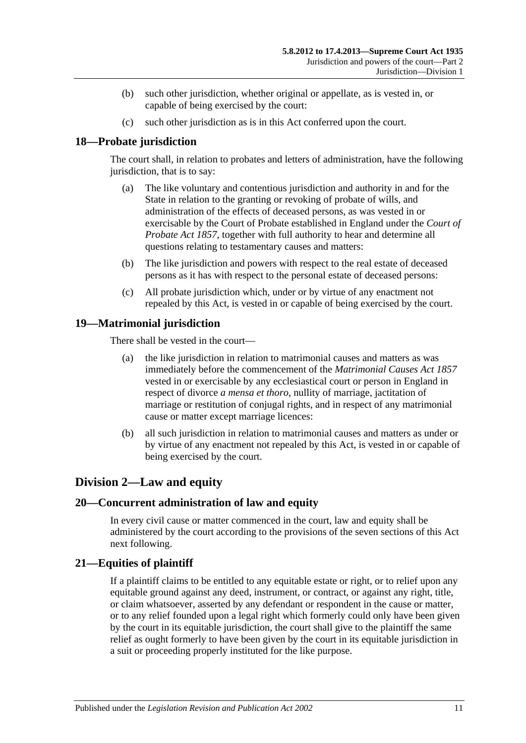- (b) such other jurisdiction, whether original or appellate, as is vested in, or capable of being exercised by the court:
- (c) such other jurisdiction as is in this Act conferred upon the court.

## <span id="page-10-0"></span>**18—Probate jurisdiction**

The court shall, in relation to probates and letters of administration, have the following jurisdiction, that is to say:

- (a) The like voluntary and contentious jurisdiction and authority in and for the State in relation to the granting or revoking of probate of wills, and administration of the effects of deceased persons, as was vested in or exercisable by the Court of Probate established in England under the *[Court of](http://www.legislation.sa.gov.au/index.aspx?action=legref&type=act&legtitle=Court%20of%20Probate%20Act%201857)  [Probate Act](http://www.legislation.sa.gov.au/index.aspx?action=legref&type=act&legtitle=Court%20of%20Probate%20Act%201857) 1857*, together with full authority to hear and determine all questions relating to testamentary causes and matters:
- (b) The like jurisdiction and powers with respect to the real estate of deceased persons as it has with respect to the personal estate of deceased persons:
- (c) All probate jurisdiction which, under or by virtue of any enactment not repealed by this Act, is vested in or capable of being exercised by the court.

## <span id="page-10-1"></span>**19—Matrimonial jurisdiction**

There shall be vested in the court—

- (a) the like jurisdiction in relation to matrimonial causes and matters as was immediately before the commencement of the *[Matrimonial Causes Act](http://www.legislation.sa.gov.au/index.aspx?action=legref&type=act&legtitle=Matrimonial%20Causes%20Act%201857) 1857* vested in or exercisable by any ecclesiastical court or person in England in respect of divorce *a mensa et thoro*, nullity of marriage, jactitation of marriage or restitution of conjugal rights, and in respect of any matrimonial cause or matter except marriage licences:
- (b) all such jurisdiction in relation to matrimonial causes and matters as under or by virtue of any enactment not repealed by this Act, is vested in or capable of being exercised by the court.

## <span id="page-10-2"></span>**Division 2—Law and equity**

## <span id="page-10-3"></span>**20—Concurrent administration of law and equity**

In every civil cause or matter commenced in the court, law and equity shall be administered by the court according to the provisions of the seven sections of this Act next following.

## <span id="page-10-4"></span>**21—Equities of plaintiff**

If a plaintiff claims to be entitled to any equitable estate or right, or to relief upon any equitable ground against any deed, instrument, or contract, or against any right, title, or claim whatsoever, asserted by any defendant or respondent in the cause or matter, or to any relief founded upon a legal right which formerly could only have been given by the court in its equitable jurisdiction, the court shall give to the plaintiff the same relief as ought formerly to have been given by the court in its equitable jurisdiction in a suit or proceeding properly instituted for the like purpose.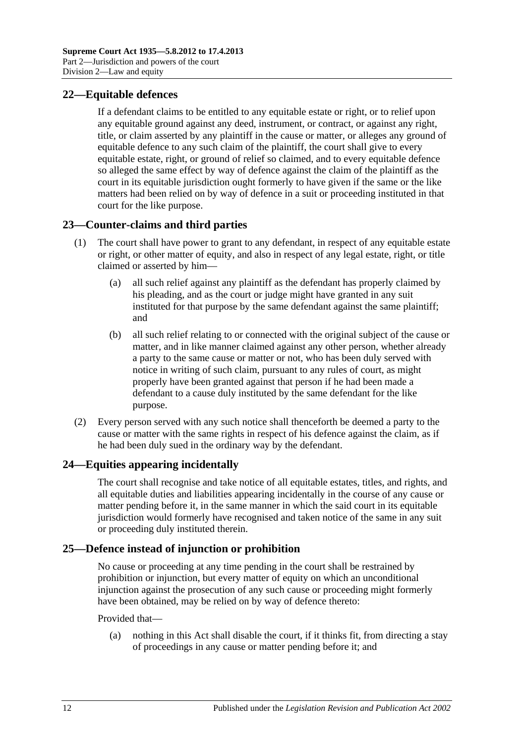## <span id="page-11-0"></span>**22—Equitable defences**

If a defendant claims to be entitled to any equitable estate or right, or to relief upon any equitable ground against any deed, instrument, or contract, or against any right, title, or claim asserted by any plaintiff in the cause or matter, or alleges any ground of equitable defence to any such claim of the plaintiff, the court shall give to every equitable estate, right, or ground of relief so claimed, and to every equitable defence so alleged the same effect by way of defence against the claim of the plaintiff as the court in its equitable jurisdiction ought formerly to have given if the same or the like matters had been relied on by way of defence in a suit or proceeding instituted in that court for the like purpose.

## <span id="page-11-1"></span>**23—Counter-claims and third parties**

- (1) The court shall have power to grant to any defendant, in respect of any equitable estate or right, or other matter of equity, and also in respect of any legal estate, right, or title claimed or asserted by him—
	- (a) all such relief against any plaintiff as the defendant has properly claimed by his pleading, and as the court or judge might have granted in any suit instituted for that purpose by the same defendant against the same plaintiff; and
	- (b) all such relief relating to or connected with the original subject of the cause or matter, and in like manner claimed against any other person, whether already a party to the same cause or matter or not, who has been duly served with notice in writing of such claim, pursuant to any rules of court, as might properly have been granted against that person if he had been made a defendant to a cause duly instituted by the same defendant for the like purpose.
- (2) Every person served with any such notice shall thenceforth be deemed a party to the cause or matter with the same rights in respect of his defence against the claim, as if he had been duly sued in the ordinary way by the defendant.

## <span id="page-11-2"></span>**24—Equities appearing incidentally**

The court shall recognise and take notice of all equitable estates, titles, and rights, and all equitable duties and liabilities appearing incidentally in the course of any cause or matter pending before it, in the same manner in which the said court in its equitable jurisdiction would formerly have recognised and taken notice of the same in any suit or proceeding duly instituted therein.

## <span id="page-11-3"></span>**25—Defence instead of injunction or prohibition**

No cause or proceeding at any time pending in the court shall be restrained by prohibition or injunction, but every matter of equity on which an unconditional injunction against the prosecution of any such cause or proceeding might formerly have been obtained, may be relied on by way of defence thereto:

#### Provided that—

(a) nothing in this Act shall disable the court, if it thinks fit, from directing a stay of proceedings in any cause or matter pending before it; and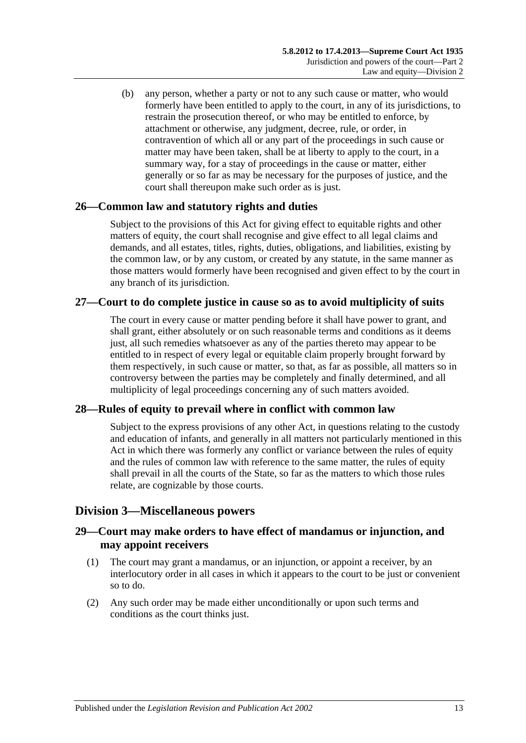(b) any person, whether a party or not to any such cause or matter, who would formerly have been entitled to apply to the court, in any of its jurisdictions, to restrain the prosecution thereof, or who may be entitled to enforce, by attachment or otherwise, any judgment, decree, rule, or order, in contravention of which all or any part of the proceedings in such cause or matter may have been taken, shall be at liberty to apply to the court, in a summary way, for a stay of proceedings in the cause or matter, either generally or so far as may be necessary for the purposes of justice, and the court shall thereupon make such order as is just.

## <span id="page-12-0"></span>**26—Common law and statutory rights and duties**

Subject to the provisions of this Act for giving effect to equitable rights and other matters of equity, the court shall recognise and give effect to all legal claims and demands, and all estates, titles, rights, duties, obligations, and liabilities, existing by the common law, or by any custom, or created by any statute, in the same manner as those matters would formerly have been recognised and given effect to by the court in any branch of its jurisdiction.

## <span id="page-12-1"></span>**27—Court to do complete justice in cause so as to avoid multiplicity of suits**

The court in every cause or matter pending before it shall have power to grant, and shall grant, either absolutely or on such reasonable terms and conditions as it deems just, all such remedies whatsoever as any of the parties thereto may appear to be entitled to in respect of every legal or equitable claim properly brought forward by them respectively, in such cause or matter, so that, as far as possible, all matters so in controversy between the parties may be completely and finally determined, and all multiplicity of legal proceedings concerning any of such matters avoided.

## <span id="page-12-2"></span>**28—Rules of equity to prevail where in conflict with common law**

Subject to the express provisions of any other Act, in questions relating to the custody and education of infants, and generally in all matters not particularly mentioned in this Act in which there was formerly any conflict or variance between the rules of equity and the rules of common law with reference to the same matter, the rules of equity shall prevail in all the courts of the State, so far as the matters to which those rules relate, are cognizable by those courts.

## <span id="page-12-3"></span>**Division 3—Miscellaneous powers**

## <span id="page-12-4"></span>**29—Court may make orders to have effect of mandamus or injunction, and may appoint receivers**

- (1) The court may grant a mandamus, or an injunction, or appoint a receiver, by an interlocutory order in all cases in which it appears to the court to be just or convenient so to do.
- (2) Any such order may be made either unconditionally or upon such terms and conditions as the court thinks just.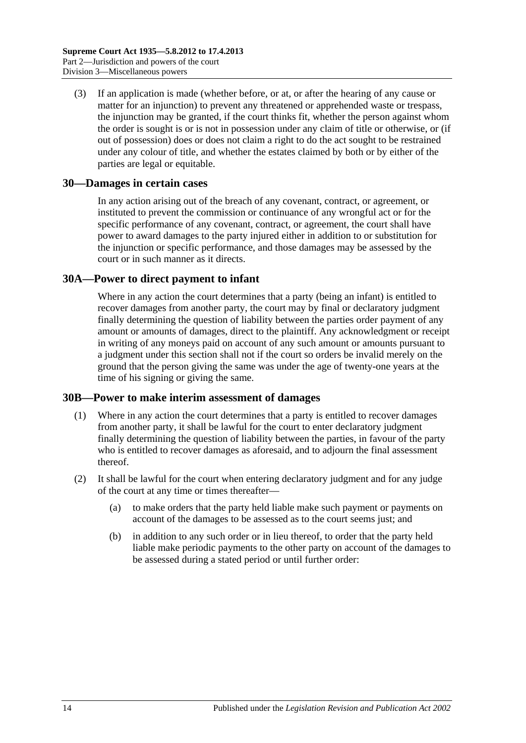(3) If an application is made (whether before, or at, or after the hearing of any cause or matter for an injunction) to prevent any threatened or apprehended waste or trespass, the injunction may be granted, if the court thinks fit, whether the person against whom the order is sought is or is not in possession under any claim of title or otherwise, or (if out of possession) does or does not claim a right to do the act sought to be restrained under any colour of title, and whether the estates claimed by both or by either of the parties are legal or equitable.

### <span id="page-13-0"></span>**30—Damages in certain cases**

In any action arising out of the breach of any covenant, contract, or agreement, or instituted to prevent the commission or continuance of any wrongful act or for the specific performance of any covenant, contract, or agreement, the court shall have power to award damages to the party injured either in addition to or substitution for the injunction or specific performance, and those damages may be assessed by the court or in such manner as it directs.

### <span id="page-13-1"></span>**30A—Power to direct payment to infant**

Where in any action the court determines that a party (being an infant) is entitled to recover damages from another party, the court may by final or declaratory judgment finally determining the question of liability between the parties order payment of any amount or amounts of damages, direct to the plaintiff. Any acknowledgment or receipt in writing of any moneys paid on account of any such amount or amounts pursuant to a judgment under this section shall not if the court so orders be invalid merely on the ground that the person giving the same was under the age of twenty-one years at the time of his signing or giving the same.

#### <span id="page-13-2"></span>**30B—Power to make interim assessment of damages**

- (1) Where in any action the court determines that a party is entitled to recover damages from another party, it shall be lawful for the court to enter declaratory judgment finally determining the question of liability between the parties, in favour of the party who is entitled to recover damages as aforesaid, and to adjourn the final assessment thereof.
- <span id="page-13-3"></span>(2) It shall be lawful for the court when entering declaratory judgment and for any judge of the court at any time or times thereafter—
	- (a) to make orders that the party held liable make such payment or payments on account of the damages to be assessed as to the court seems just; and
	- (b) in addition to any such order or in lieu thereof, to order that the party held liable make periodic payments to the other party on account of the damages to be assessed during a stated period or until further order: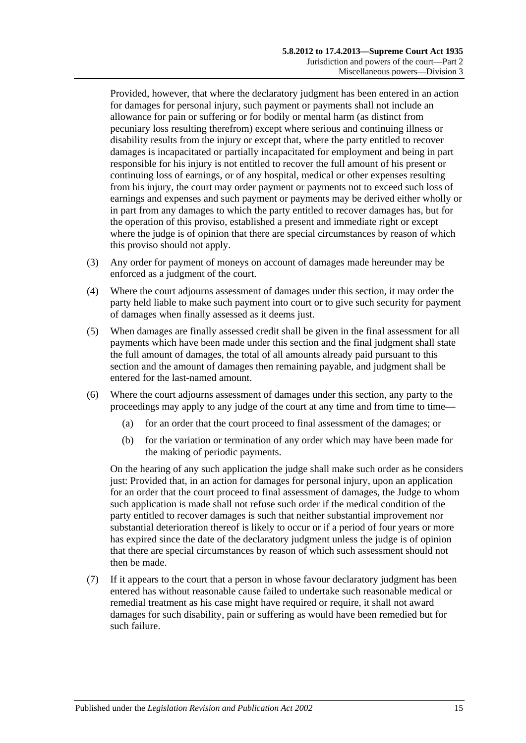Provided, however, that where the declaratory judgment has been entered in an action for damages for personal injury, such payment or payments shall not include an allowance for pain or suffering or for bodily or mental harm (as distinct from pecuniary loss resulting therefrom) except where serious and continuing illness or disability results from the injury or except that, where the party entitled to recover damages is incapacitated or partially incapacitated for employment and being in part responsible for his injury is not entitled to recover the full amount of his present or continuing loss of earnings, or of any hospital, medical or other expenses resulting from his injury, the court may order payment or payments not to exceed such loss of earnings and expenses and such payment or payments may be derived either wholly or in part from any damages to which the party entitled to recover damages has, but for the operation of this proviso, established a present and immediate right or except where the judge is of opinion that there are special circumstances by reason of which this proviso should not apply.

- (3) Any order for payment of moneys on account of damages made hereunder may be enforced as a judgment of the court.
- (4) Where the court adjourns assessment of damages under this section, it may order the party held liable to make such payment into court or to give such security for payment of damages when finally assessed as it deems just.
- (5) When damages are finally assessed credit shall be given in the final assessment for all payments which have been made under this section and the final judgment shall state the full amount of damages, the total of all amounts already paid pursuant to this section and the amount of damages then remaining payable, and judgment shall be entered for the last-named amount.
- (6) Where the court adjourns assessment of damages under this section, any party to the proceedings may apply to any judge of the court at any time and from time to time—
	- (a) for an order that the court proceed to final assessment of the damages; or
	- (b) for the variation or termination of any order which may have been made for the making of periodic payments.

On the hearing of any such application the judge shall make such order as he considers just: Provided that, in an action for damages for personal injury, upon an application for an order that the court proceed to final assessment of damages, the Judge to whom such application is made shall not refuse such order if the medical condition of the party entitled to recover damages is such that neither substantial improvement nor substantial deterioration thereof is likely to occur or if a period of four years or more has expired since the date of the declaratory judgment unless the judge is of opinion that there are special circumstances by reason of which such assessment should not then be made.

(7) If it appears to the court that a person in whose favour declaratory judgment has been entered has without reasonable cause failed to undertake such reasonable medical or remedial treatment as his case might have required or require, it shall not award damages for such disability, pain or suffering as would have been remedied but for such failure.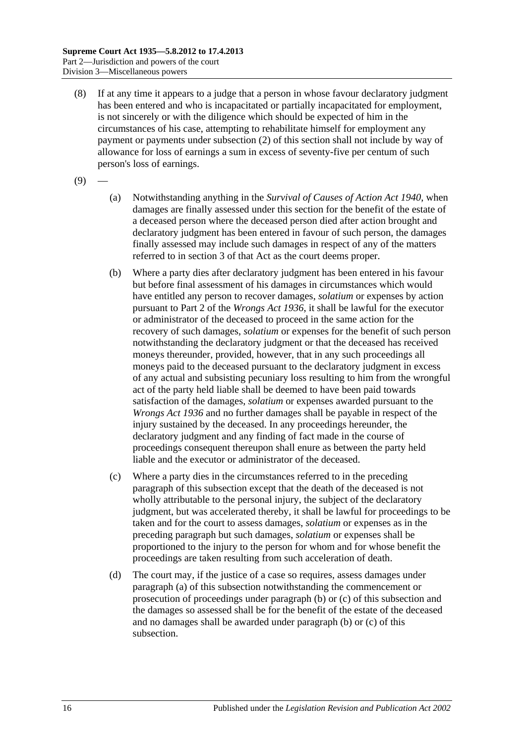- (8) If at any time it appears to a judge that a person in whose favour declaratory judgment has been entered and who is incapacitated or partially incapacitated for employment, is not sincerely or with the diligence which should be expected of him in the circumstances of his case, attempting to rehabilitate himself for employment any payment or payments under [subsection](#page-13-3) (2) of this section shall not include by way of allowance for loss of earnings a sum in excess of seventy-five per centum of such person's loss of earnings.
- <span id="page-15-0"></span> $(9)$
- (a) Notwithstanding anything in the *[Survival of Causes of Action Act](http://www.legislation.sa.gov.au/index.aspx?action=legref&type=act&legtitle=Survival%20of%20Causes%20of%20Action%20Act%201940) 1940*, when damages are finally assessed under this section for the benefit of the estate of a deceased person where the deceased person died after action brought and declaratory judgment has been entered in favour of such person, the damages finally assessed may include such damages in respect of any of the matters referred to in section 3 of that Act as the court deems proper.
- <span id="page-15-1"></span>(b) Where a party dies after declaratory judgment has been entered in his favour but before final assessment of his damages in circumstances which would have entitled any person to recover damages, *solatium* or expenses by action pursuant to Part 2 of the *[Wrongs Act](http://www.legislation.sa.gov.au/index.aspx?action=legref&type=act&legtitle=Wrongs%20Act%201936) 1936*, it shall be lawful for the executor or administrator of the deceased to proceed in the same action for the recovery of such damages, *solatium* or expenses for the benefit of such person notwithstanding the declaratory judgment or that the deceased has received moneys thereunder, provided, however, that in any such proceedings all moneys paid to the deceased pursuant to the declaratory judgment in excess of any actual and subsisting pecuniary loss resulting to him from the wrongful act of the party held liable shall be deemed to have been paid towards satisfaction of the damages, *solatium* or expenses awarded pursuant to the *[Wrongs Act](http://www.legislation.sa.gov.au/index.aspx?action=legref&type=act&legtitle=Wrongs%20Act%201936) 1936* and no further damages shall be payable in respect of the injury sustained by the deceased. In any proceedings hereunder, the declaratory judgment and any finding of fact made in the course of proceedings consequent thereupon shall enure as between the party held liable and the executor or administrator of the deceased.
- <span id="page-15-2"></span>(c) Where a party dies in the circumstances referred to in the preceding paragraph of this subsection except that the death of the deceased is not wholly attributable to the personal injury, the subject of the declaratory judgment, but was accelerated thereby, it shall be lawful for proceedings to be taken and for the court to assess damages, *solatium* or expenses as in the preceding paragraph but such damages, *solatium* or expenses shall be proportioned to the injury to the person for whom and for whose benefit the proceedings are taken resulting from such acceleration of death.
- (d) The court may, if the justice of a case so requires, assess damages under [paragraph](#page-15-0) (a) of this subsection notwithstanding the commencement or prosecution of proceedings under [paragraph](#page-15-1) (b) or [\(c\)](#page-15-2) of this subsection and the damages so assessed shall be for the benefit of the estate of the deceased and no damages shall be awarded under [paragraph](#page-15-1) (b) or [\(c\)](#page-15-2) of this subsection.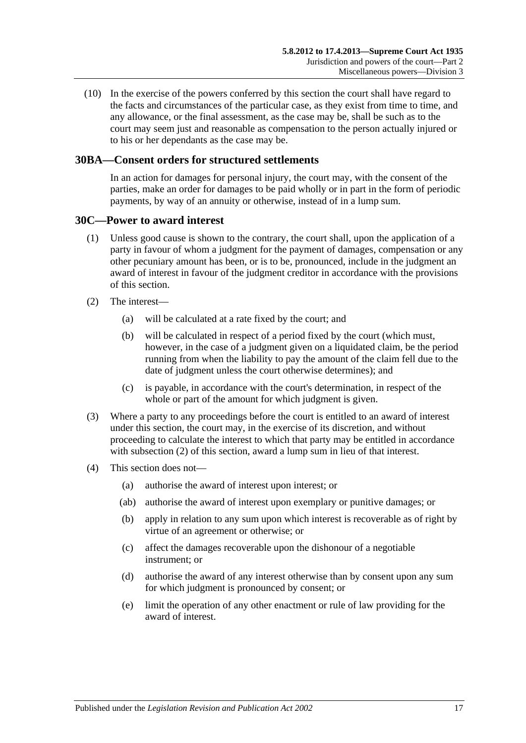(10) In the exercise of the powers conferred by this section the court shall have regard to the facts and circumstances of the particular case, as they exist from time to time, and any allowance, or the final assessment, as the case may be, shall be such as to the court may seem just and reasonable as compensation to the person actually injured or to his or her dependants as the case may be.

## <span id="page-16-0"></span>**30BA—Consent orders for structured settlements**

In an action for damages for personal injury, the court may, with the consent of the parties, make an order for damages to be paid wholly or in part in the form of periodic payments, by way of an annuity or otherwise, instead of in a lump sum.

#### <span id="page-16-1"></span>**30C—Power to award interest**

- (1) Unless good cause is shown to the contrary, the court shall, upon the application of a party in favour of whom a judgment for the payment of damages, compensation or any other pecuniary amount has been, or is to be, pronounced, include in the judgment an award of interest in favour of the judgment creditor in accordance with the provisions of this section.
- <span id="page-16-2"></span>(2) The interest—
	- (a) will be calculated at a rate fixed by the court; and
	- (b) will be calculated in respect of a period fixed by the court (which must, however, in the case of a judgment given on a liquidated claim, be the period running from when the liability to pay the amount of the claim fell due to the date of judgment unless the court otherwise determines); and
	- (c) is payable, in accordance with the court's determination, in respect of the whole or part of the amount for which judgment is given.
- (3) Where a party to any proceedings before the court is entitled to an award of interest under this section, the court may, in the exercise of its discretion, and without proceeding to calculate the interest to which that party may be entitled in accordance with [subsection](#page-16-2) (2) of this section, award a lump sum in lieu of that interest.
- (4) This section does not—
	- (a) authorise the award of interest upon interest; or
	- (ab) authorise the award of interest upon exemplary or punitive damages; or
	- (b) apply in relation to any sum upon which interest is recoverable as of right by virtue of an agreement or otherwise; or
	- (c) affect the damages recoverable upon the dishonour of a negotiable instrument; or
	- (d) authorise the award of any interest otherwise than by consent upon any sum for which judgment is pronounced by consent; or
	- (e) limit the operation of any other enactment or rule of law providing for the award of interest.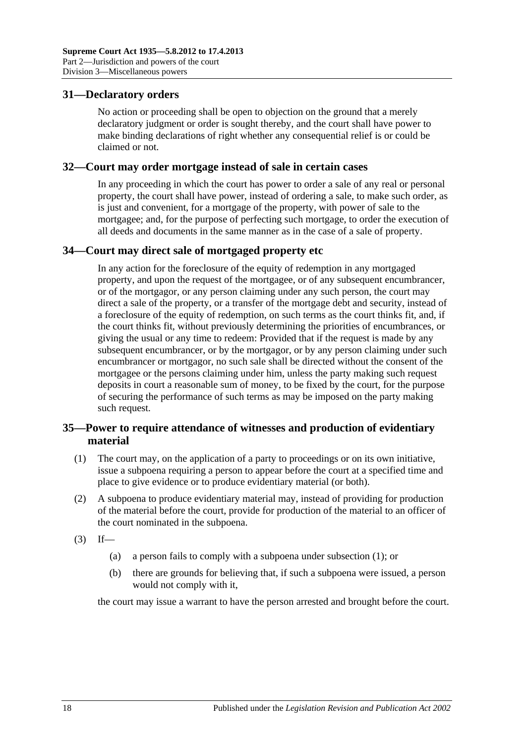## <span id="page-17-0"></span>**31—Declaratory orders**

No action or proceeding shall be open to objection on the ground that a merely declaratory judgment or order is sought thereby, and the court shall have power to make binding declarations of right whether any consequential relief is or could be claimed or not.

#### <span id="page-17-1"></span>**32—Court may order mortgage instead of sale in certain cases**

In any proceeding in which the court has power to order a sale of any real or personal property, the court shall have power, instead of ordering a sale, to make such order, as is just and convenient, for a mortgage of the property, with power of sale to the mortgagee; and, for the purpose of perfecting such mortgage, to order the execution of all deeds and documents in the same manner as in the case of a sale of property.

## <span id="page-17-2"></span>**34—Court may direct sale of mortgaged property etc**

In any action for the foreclosure of the equity of redemption in any mortgaged property, and upon the request of the mortgagee, or of any subsequent encumbrancer, or of the mortgagor, or any person claiming under any such person, the court may direct a sale of the property, or a transfer of the mortgage debt and security, instead of a foreclosure of the equity of redemption, on such terms as the court thinks fit, and, if the court thinks fit, without previously determining the priorities of encumbrances, or giving the usual or any time to redeem: Provided that if the request is made by any subsequent encumbrancer, or by the mortgagor, or by any person claiming under such encumbrancer or mortgagor, no such sale shall be directed without the consent of the mortgagee or the persons claiming under him, unless the party making such request deposits in court a reasonable sum of money, to be fixed by the court, for the purpose of securing the performance of such terms as may be imposed on the party making such request.

## <span id="page-17-3"></span>**35—Power to require attendance of witnesses and production of evidentiary material**

- <span id="page-17-4"></span>(1) The court may, on the application of a party to proceedings or on its own initiative, issue a subpoena requiring a person to appear before the court at a specified time and place to give evidence or to produce evidentiary material (or both).
- (2) A subpoena to produce evidentiary material may, instead of providing for production of the material before the court, provide for production of the material to an officer of the court nominated in the subpoena.
- $(3)$  If—
	- (a) a person fails to comply with a subpoena under [subsection](#page-17-4) (1); or
	- (b) there are grounds for believing that, if such a subpoena were issued, a person would not comply with it,

the court may issue a warrant to have the person arrested and brought before the court.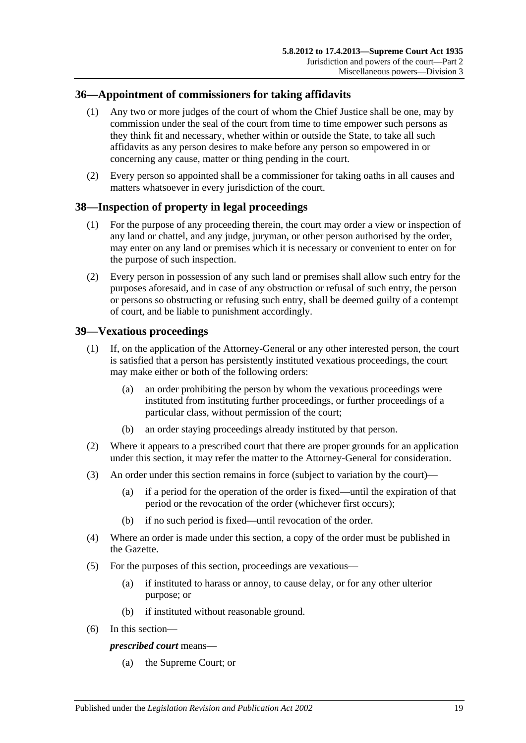## <span id="page-18-0"></span>**36—Appointment of commissioners for taking affidavits**

- (1) Any two or more judges of the court of whom the Chief Justice shall be one, may by commission under the seal of the court from time to time empower such persons as they think fit and necessary, whether within or outside the State, to take all such affidavits as any person desires to make before any person so empowered in or concerning any cause, matter or thing pending in the court.
- (2) Every person so appointed shall be a commissioner for taking oaths in all causes and matters whatsoever in every jurisdiction of the court.

### <span id="page-18-1"></span>**38—Inspection of property in legal proceedings**

- (1) For the purpose of any proceeding therein, the court may order a view or inspection of any land or chattel, and any judge, juryman, or other person authorised by the order, may enter on any land or premises which it is necessary or convenient to enter on for the purpose of such inspection.
- (2) Every person in possession of any such land or premises shall allow such entry for the purposes aforesaid, and in case of any obstruction or refusal of such entry, the person or persons so obstructing or refusing such entry, shall be deemed guilty of a contempt of court, and be liable to punishment accordingly.

### <span id="page-18-2"></span>**39—Vexatious proceedings**

- (1) If, on the application of the Attorney-General or any other interested person, the court is satisfied that a person has persistently instituted vexatious proceedings, the court may make either or both of the following orders:
	- (a) an order prohibiting the person by whom the vexatious proceedings were instituted from instituting further proceedings, or further proceedings of a particular class, without permission of the court;
	- (b) an order staying proceedings already instituted by that person.
- (2) Where it appears to a prescribed court that there are proper grounds for an application under this section, it may refer the matter to the Attorney-General for consideration.
- (3) An order under this section remains in force (subject to variation by the court)—
	- (a) if a period for the operation of the order is fixed—until the expiration of that period or the revocation of the order (whichever first occurs);
	- (b) if no such period is fixed—until revocation of the order.
- (4) Where an order is made under this section, a copy of the order must be published in the Gazette.
- (5) For the purposes of this section, proceedings are vexatious—
	- (a) if instituted to harass or annoy, to cause delay, or for any other ulterior purpose; or
	- (b) if instituted without reasonable ground.
- (6) In this section—

#### *prescribed court* means—

(a) the Supreme Court; or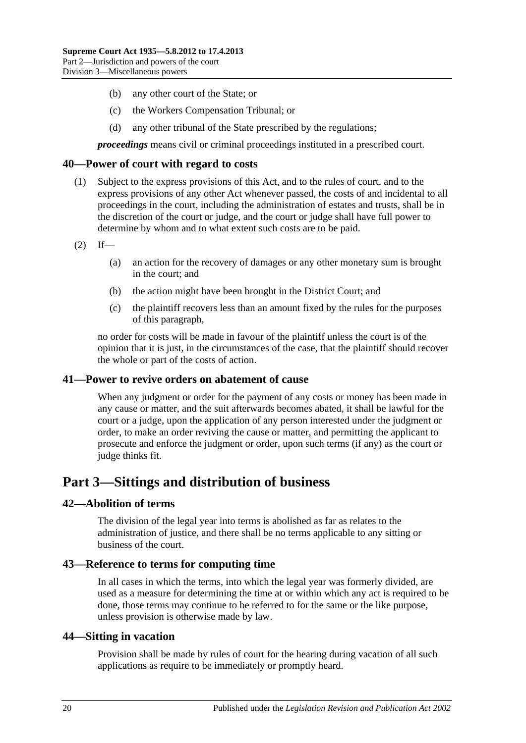- (b) any other court of the State; or
- (c) the Workers Compensation Tribunal; or
- (d) any other tribunal of the State prescribed by the regulations;

*proceedings* means civil or criminal proceedings instituted in a prescribed court.

#### <span id="page-19-0"></span>**40—Power of court with regard to costs**

- (1) Subject to the express provisions of this Act, and to the rules of court, and to the express provisions of any other Act whenever passed, the costs of and incidental to all proceedings in the court, including the administration of estates and trusts, shall be in the discretion of the court or judge, and the court or judge shall have full power to determine by whom and to what extent such costs are to be paid.
- $(2)$  If—
	- (a) an action for the recovery of damages or any other monetary sum is brought in the court; and
	- (b) the action might have been brought in the District Court; and
	- (c) the plaintiff recovers less than an amount fixed by the rules for the purposes of this paragraph,

no order for costs will be made in favour of the plaintiff unless the court is of the opinion that it is just, in the circumstances of the case, that the plaintiff should recover the whole or part of the costs of action.

#### <span id="page-19-1"></span>**41—Power to revive orders on abatement of cause**

When any judgment or order for the payment of any costs or money has been made in any cause or matter, and the suit afterwards becomes abated, it shall be lawful for the court or a judge, upon the application of any person interested under the judgment or order, to make an order reviving the cause or matter, and permitting the applicant to prosecute and enforce the judgment or order, upon such terms (if any) as the court or judge thinks fit.

## <span id="page-19-2"></span>**Part 3—Sittings and distribution of business**

#### <span id="page-19-3"></span>**42—Abolition of terms**

The division of the legal year into terms is abolished as far as relates to the administration of justice, and there shall be no terms applicable to any sitting or business of the court.

#### <span id="page-19-4"></span>**43—Reference to terms for computing time**

In all cases in which the terms, into which the legal year was formerly divided, are used as a measure for determining the time at or within which any act is required to be done, those terms may continue to be referred to for the same or the like purpose, unless provision is otherwise made by law.

#### <span id="page-19-5"></span>**44—Sitting in vacation**

Provision shall be made by rules of court for the hearing during vacation of all such applications as require to be immediately or promptly heard.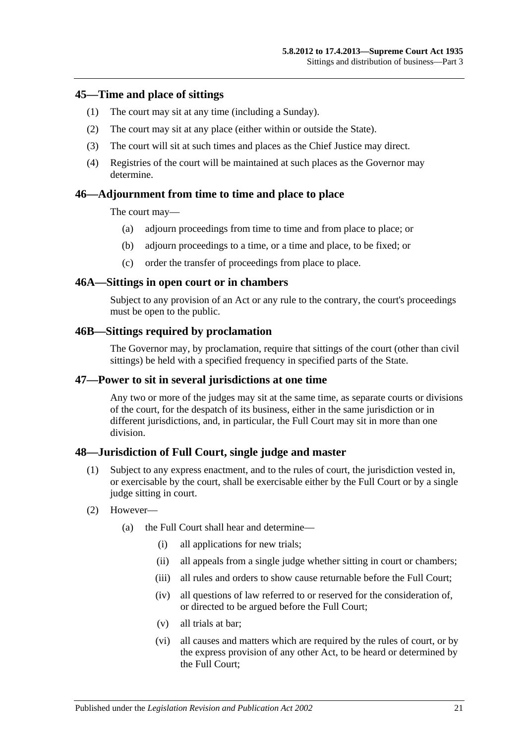#### <span id="page-20-0"></span>**45—Time and place of sittings**

- (1) The court may sit at any time (including a Sunday).
- (2) The court may sit at any place (either within or outside the State).
- (3) The court will sit at such times and places as the Chief Justice may direct.
- (4) Registries of the court will be maintained at such places as the Governor may determine.

### <span id="page-20-1"></span>**46—Adjournment from time to time and place to place**

The court may—

- (a) adjourn proceedings from time to time and from place to place; or
- (b) adjourn proceedings to a time, or a time and place, to be fixed; or
- (c) order the transfer of proceedings from place to place.

#### <span id="page-20-2"></span>**46A—Sittings in open court or in chambers**

Subject to any provision of an Act or any rule to the contrary, the court's proceedings must be open to the public.

#### <span id="page-20-3"></span>**46B—Sittings required by proclamation**

The Governor may, by proclamation, require that sittings of the court (other than civil sittings) be held with a specified frequency in specified parts of the State.

#### <span id="page-20-4"></span>**47—Power to sit in several jurisdictions at one time**

Any two or more of the judges may sit at the same time, as separate courts or divisions of the court, for the despatch of its business, either in the same jurisdiction or in different jurisdictions, and, in particular, the Full Court may sit in more than one division.

#### <span id="page-20-5"></span>**48—Jurisdiction of Full Court, single judge and master**

- (1) Subject to any express enactment, and to the rules of court, the jurisdiction vested in, or exercisable by the court, shall be exercisable either by the Full Court or by a single judge sitting in court.
- (2) However—
	- (a) the Full Court shall hear and determine—
		- (i) all applications for new trials;
		- (ii) all appeals from a single judge whether sitting in court or chambers;
		- (iii) all rules and orders to show cause returnable before the Full Court:
		- (iv) all questions of law referred to or reserved for the consideration of, or directed to be argued before the Full Court;
		- (v) all trials at bar;
		- (vi) all causes and matters which are required by the rules of court, or by the express provision of any other Act, to be heard or determined by the Full Court;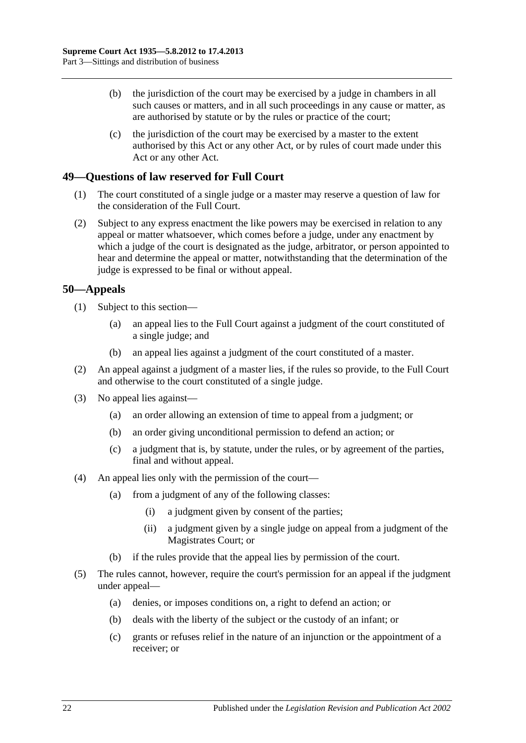- (b) the jurisdiction of the court may be exercised by a judge in chambers in all such causes or matters, and in all such proceedings in any cause or matter, as are authorised by statute or by the rules or practice of the court;
- (c) the jurisdiction of the court may be exercised by a master to the extent authorised by this Act or any other Act, or by rules of court made under this Act or any other Act.

## <span id="page-21-0"></span>**49—Questions of law reserved for Full Court**

- (1) The court constituted of a single judge or a master may reserve a question of law for the consideration of the Full Court.
- (2) Subject to any express enactment the like powers may be exercised in relation to any appeal or matter whatsoever, which comes before a judge, under any enactment by which a judge of the court is designated as the judge, arbitrator, or person appointed to hear and determine the appeal or matter, notwithstanding that the determination of the judge is expressed to be final or without appeal.

## <span id="page-21-1"></span>**50—Appeals**

- (1) Subject to this section—
	- (a) an appeal lies to the Full Court against a judgment of the court constituted of a single judge; and
	- (b) an appeal lies against a judgment of the court constituted of a master.
- (2) An appeal against a judgment of a master lies, if the rules so provide, to the Full Court and otherwise to the court constituted of a single judge.
- (3) No appeal lies against—
	- (a) an order allowing an extension of time to appeal from a judgment; or
	- (b) an order giving unconditional permission to defend an action; or
	- (c) a judgment that is, by statute, under the rules, or by agreement of the parties, final and without appeal.
- (4) An appeal lies only with the permission of the court—
	- (a) from a judgment of any of the following classes:
		- (i) a judgment given by consent of the parties;
		- (ii) a judgment given by a single judge on appeal from a judgment of the Magistrates Court; or
	- (b) if the rules provide that the appeal lies by permission of the court.
- (5) The rules cannot, however, require the court's permission for an appeal if the judgment under appeal—
	- (a) denies, or imposes conditions on, a right to defend an action; or
	- (b) deals with the liberty of the subject or the custody of an infant; or
	- (c) grants or refuses relief in the nature of an injunction or the appointment of a receiver; or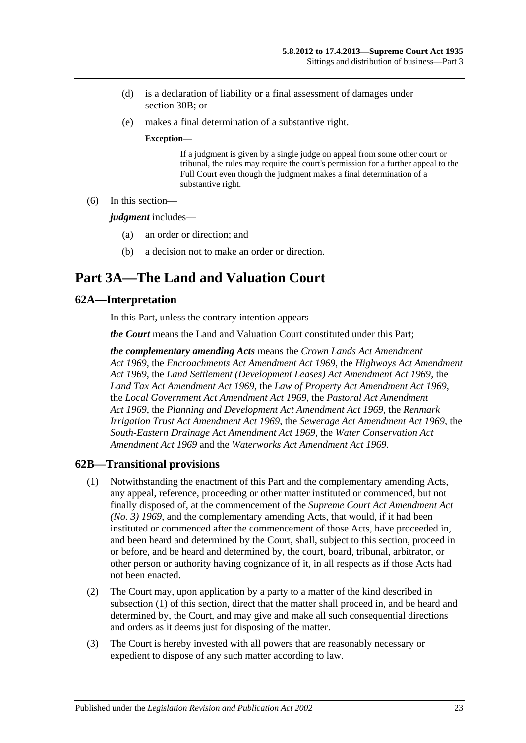- (d) is a declaration of liability or a final assessment of damages under [section](#page-13-2) 30B; or
- (e) makes a final determination of a substantive right.

#### **Exception—**

If a judgment is given by a single judge on appeal from some other court or tribunal, the rules may require the court's permission for a further appeal to the Full Court even though the judgment makes a final determination of a substantive right.

(6) In this section—

*judgment* includes—

- (a) an order or direction; and
- (b) a decision not to make an order or direction.

# <span id="page-22-0"></span>**Part 3A—The Land and Valuation Court**

### <span id="page-22-1"></span>**62A—Interpretation**

In this Part, unless the contrary intention appears—

*the Court* means the Land and Valuation Court constituted under this Part;

*the complementary amending Acts* means the *[Crown Lands Act Amendment](http://www.legislation.sa.gov.au/index.aspx?action=legref&type=act&legtitle=Crown%20Lands%20Act%20Amendment%20Act%201969)  Act [1969](http://www.legislation.sa.gov.au/index.aspx?action=legref&type=act&legtitle=Crown%20Lands%20Act%20Amendment%20Act%201969)*, the *[Encroachments Act Amendment Act](http://www.legislation.sa.gov.au/index.aspx?action=legref&type=act&legtitle=Encroachments%20Act%20Amendment%20Act%201969) 1969*, the *[Highways Act Amendment](http://www.legislation.sa.gov.au/index.aspx?action=legref&type=act&legtitle=Highways%20Act%20Amendment%20Act%201969)  Act [1969](http://www.legislation.sa.gov.au/index.aspx?action=legref&type=act&legtitle=Highways%20Act%20Amendment%20Act%201969)*, the *[Land Settlement \(Development Leases\) Act Amendment Act](http://www.legislation.sa.gov.au/index.aspx?action=legref&type=act&legtitle=Land%20Settlement%20(Development%20Leases)%20Act%20Amendment%20Act%201969) 1969*, the *[Land Tax Act Amendment Act](http://www.legislation.sa.gov.au/index.aspx?action=legref&type=act&legtitle=Land%20Tax%20Act%20Amendment%20Act%201969) 1969*, the *[Law of Property Act Amendment Act](http://www.legislation.sa.gov.au/index.aspx?action=legref&type=act&legtitle=Law%20of%20Property%20Act%20Amendment%20Act%201969) 1969*, the *[Local Government Act Amendment Act](http://www.legislation.sa.gov.au/index.aspx?action=legref&type=act&legtitle=Local%20Government%20Act%20Amendment%20Act%201969) 1969*, the *[Pastoral Act Amendment](http://www.legislation.sa.gov.au/index.aspx?action=legref&type=act&legtitle=Pastoral%20Act%20Amendment%20Act%201969)  Act [1969](http://www.legislation.sa.gov.au/index.aspx?action=legref&type=act&legtitle=Pastoral%20Act%20Amendment%20Act%201969)*, the *[Planning and Development Act Amendment Act](http://www.legislation.sa.gov.au/index.aspx?action=legref&type=act&legtitle=Planning%20and%20Development%20Act%20Amendment%20Act%201969) 1969*, the *[Renmark](http://www.legislation.sa.gov.au/index.aspx?action=legref&type=act&legtitle=Renmark%20Irrigation%20Trust%20Act%20Amendment%20Act%201969)  [Irrigation Trust Act Amendment Act](http://www.legislation.sa.gov.au/index.aspx?action=legref&type=act&legtitle=Renmark%20Irrigation%20Trust%20Act%20Amendment%20Act%201969) 1969*, the *[Sewerage Act Amendment Act](http://www.legislation.sa.gov.au/index.aspx?action=legref&type=act&legtitle=Sewerage%20Act%20Amendment%20Act%201969) 1969*, the *[South-Eastern Drainage Act Amendment Act](http://www.legislation.sa.gov.au/index.aspx?action=legref&type=act&legtitle=South-Eastern%20Drainage%20Act%20Amendment%20Act%201969) 1969*, the *[Water Conservation Act](http://www.legislation.sa.gov.au/index.aspx?action=legref&type=act&legtitle=Water%20Conservation%20Act%20Amendment%20Act%201969)  [Amendment Act](http://www.legislation.sa.gov.au/index.aspx?action=legref&type=act&legtitle=Water%20Conservation%20Act%20Amendment%20Act%201969) 1969* and the *[Waterworks Act Amendment Act](http://www.legislation.sa.gov.au/index.aspx?action=legref&type=act&legtitle=Waterworks%20Act%20Amendment%20Act%201969) 1969*.

#### <span id="page-22-3"></span><span id="page-22-2"></span>**62B—Transitional provisions**

- (1) Notwithstanding the enactment of this Part and the complementary amending Acts, any appeal, reference, proceeding or other matter instituted or commenced, but not finally disposed of, at the commencement of the *[Supreme Court Act Amendment Act](http://www.legislation.sa.gov.au/index.aspx?action=legref&type=act&legtitle=Supreme%20Court%20Act%20Amendment%20Act%20(No.%203)%201969)  [\(No. 3\)](http://www.legislation.sa.gov.au/index.aspx?action=legref&type=act&legtitle=Supreme%20Court%20Act%20Amendment%20Act%20(No.%203)%201969) 1969*, and the complementary amending Acts, that would, if it had been instituted or commenced after the commencement of those Acts, have proceeded in, and been heard and determined by the Court, shall, subject to this section, proceed in or before, and be heard and determined by, the court, board, tribunal, arbitrator, or other person or authority having cognizance of it, in all respects as if those Acts had not been enacted.
- (2) The Court may, upon application by a party to a matter of the kind described in [subsection](#page-22-3) (1) of this section, direct that the matter shall proceed in, and be heard and determined by, the Court, and may give and make all such consequential directions and orders as it deems just for disposing of the matter.
- (3) The Court is hereby invested with all powers that are reasonably necessary or expedient to dispose of any such matter according to law.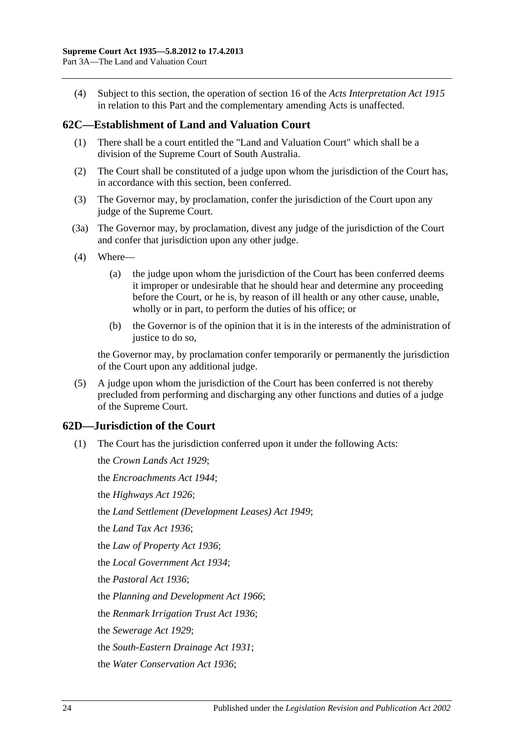(4) Subject to this section, the operation of section 16 of the *[Acts Interpretation Act](http://www.legislation.sa.gov.au/index.aspx?action=legref&type=act&legtitle=Acts%20Interpretation%20Act%201915) 1915* in relation to this Part and the complementary amending Acts is unaffected.

## <span id="page-23-0"></span>**62C—Establishment of Land and Valuation Court**

- (1) There shall be a court entitled the "Land and Valuation Court" which shall be a division of the Supreme Court of South Australia.
- (2) The Court shall be constituted of a judge upon whom the jurisdiction of the Court has, in accordance with this section, been conferred.
- (3) The Governor may, by proclamation, confer the jurisdiction of the Court upon any judge of the Supreme Court.
- (3a) The Governor may, by proclamation, divest any judge of the jurisdiction of the Court and confer that jurisdiction upon any other judge.
- (4) Where—
	- (a) the judge upon whom the jurisdiction of the Court has been conferred deems it improper or undesirable that he should hear and determine any proceeding before the Court, or he is, by reason of ill health or any other cause, unable, wholly or in part, to perform the duties of his office; or
	- (b) the Governor is of the opinion that it is in the interests of the administration of justice to do so.

the Governor may, by proclamation confer temporarily or permanently the jurisdiction of the Court upon any additional judge.

(5) A judge upon whom the jurisdiction of the Court has been conferred is not thereby precluded from performing and discharging any other functions and duties of a judge of the Supreme Court.

## <span id="page-23-1"></span>**62D—Jurisdiction of the Court**

(1) The Court has the jurisdiction conferred upon it under the following Acts:

the *[Crown Lands Act](http://www.legislation.sa.gov.au/index.aspx?action=legref&type=act&legtitle=Crown%20Lands%20Act%201929) 1929*; the *[Encroachments Act](http://www.legislation.sa.gov.au/index.aspx?action=legref&type=act&legtitle=Encroachments%20Act%201944) 1944*; the *[Highways Act](http://www.legislation.sa.gov.au/index.aspx?action=legref&type=act&legtitle=Highways%20Act%201926) 1926*; the *[Land Settlement \(Development Leases\) Act](http://www.legislation.sa.gov.au/index.aspx?action=legref&type=act&legtitle=Land%20Settlement%20(Development%20Leases)%20Act%201949) 1949*; the *[Land Tax Act](http://www.legislation.sa.gov.au/index.aspx?action=legref&type=act&legtitle=Land%20Tax%20Act%201936) 1936*; the *[Law of Property Act](http://www.legislation.sa.gov.au/index.aspx?action=legref&type=act&legtitle=Law%20of%20Property%20Act%201936) 1936*; the *[Local Government Act](http://www.legislation.sa.gov.au/index.aspx?action=legref&type=act&legtitle=Local%20Government%20Act%201934) 1934*; the *[Pastoral Act](http://www.legislation.sa.gov.au/index.aspx?action=legref&type=act&legtitle=Pastoral%20Act%201936) 1936*; the *[Planning and Development Act](http://www.legislation.sa.gov.au/index.aspx?action=legref&type=act&legtitle=Planning%20and%20Development%20Act%201966) 1966*; the *[Renmark Irrigation Trust Act](http://www.legislation.sa.gov.au/index.aspx?action=legref&type=act&legtitle=Renmark%20Irrigation%20Trust%20Act%201936) 1936*; the *[Sewerage Act](http://www.legislation.sa.gov.au/index.aspx?action=legref&type=act&legtitle=Sewerage%20Act%201929) 1929*; the *[South-Eastern Drainage Act](http://www.legislation.sa.gov.au/index.aspx?action=legref&type=act&legtitle=South-Eastern%20Drainage%20Act%201931) 1931*; the *[Water Conservation Act](http://www.legislation.sa.gov.au/index.aspx?action=legref&type=act&legtitle=Water%20Conservation%20Act%201936) 1936*;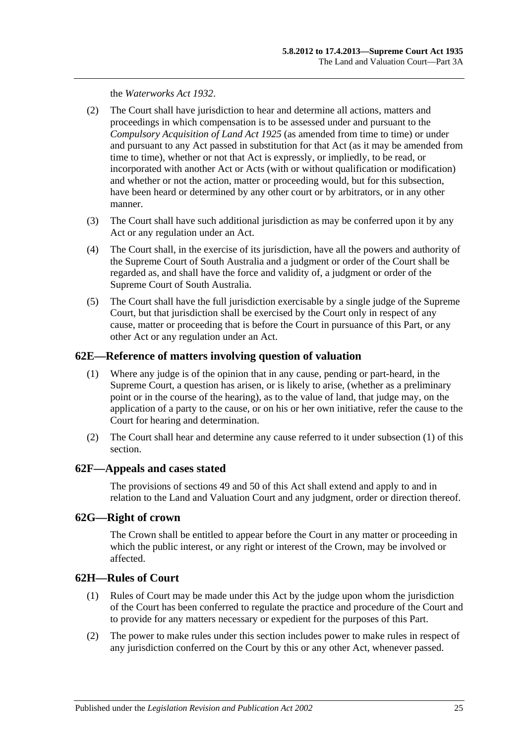the *[Waterworks Act](http://www.legislation.sa.gov.au/index.aspx?action=legref&type=act&legtitle=Waterworks%20Act%201932) 1932*.

- (2) The Court shall have jurisdiction to hear and determine all actions, matters and proceedings in which compensation is to be assessed under and pursuant to the *[Compulsory Acquisition of Land Act](http://www.legislation.sa.gov.au/index.aspx?action=legref&type=act&legtitle=Compulsory%20Acquisition%20of%20Land%20Act%201925) 1925* (as amended from time to time) or under and pursuant to any Act passed in substitution for that Act (as it may be amended from time to time), whether or not that Act is expressly, or impliedly, to be read, or incorporated with another Act or Acts (with or without qualification or modification) and whether or not the action, matter or proceeding would, but for this subsection, have been heard or determined by any other court or by arbitrators, or in any other manner.
- (3) The Court shall have such additional jurisdiction as may be conferred upon it by any Act or any regulation under an Act.
- (4) The Court shall, in the exercise of its jurisdiction, have all the powers and authority of the Supreme Court of South Australia and a judgment or order of the Court shall be regarded as, and shall have the force and validity of, a judgment or order of the Supreme Court of South Australia.
- (5) The Court shall have the full jurisdiction exercisable by a single judge of the Supreme Court, but that jurisdiction shall be exercised by the Court only in respect of any cause, matter or proceeding that is before the Court in pursuance of this Part, or any other Act or any regulation under an Act.

### <span id="page-24-4"></span><span id="page-24-0"></span>**62E—Reference of matters involving question of valuation**

- (1) Where any judge is of the opinion that in any cause, pending or part-heard, in the Supreme Court, a question has arisen, or is likely to arise, (whether as a preliminary point or in the course of the hearing), as to the value of land, that judge may, on the application of a party to the cause, or on his or her own initiative, refer the cause to the Court for hearing and determination.
- (2) The Court shall hear and determine any cause referred to it under [subsection](#page-24-4) (1) of this section.

#### <span id="page-24-1"></span>**62F—Appeals and cases stated**

The provisions of [sections](#page-21-0) 49 and [50](#page-21-1) of this Act shall extend and apply to and in relation to the Land and Valuation Court and any judgment, order or direction thereof.

## <span id="page-24-2"></span>**62G—Right of crown**

The Crown shall be entitled to appear before the Court in any matter or proceeding in which the public interest, or any right or interest of the Crown, may be involved or affected.

## <span id="page-24-3"></span>**62H—Rules of Court**

- (1) Rules of Court may be made under this Act by the judge upon whom the jurisdiction of the Court has been conferred to regulate the practice and procedure of the Court and to provide for any matters necessary or expedient for the purposes of this Part.
- (2) The power to make rules under this section includes power to make rules in respect of any jurisdiction conferred on the Court by this or any other Act, whenever passed.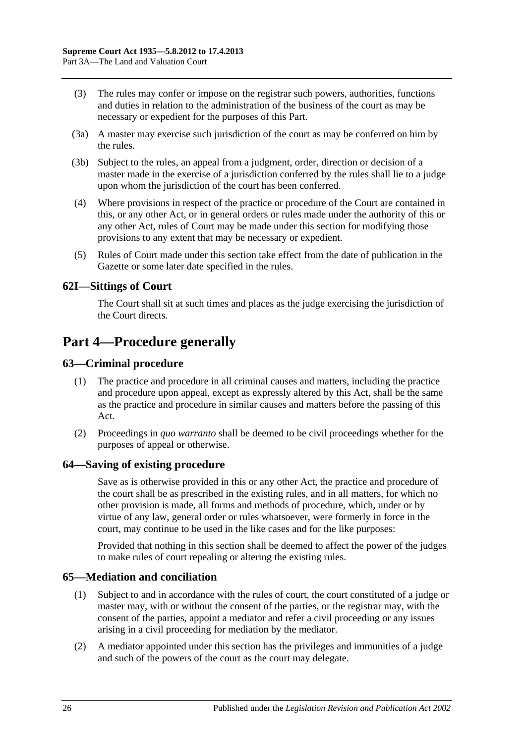- (3) The rules may confer or impose on the registrar such powers, authorities, functions and duties in relation to the administration of the business of the court as may be necessary or expedient for the purposes of this Part.
- (3a) A master may exercise such jurisdiction of the court as may be conferred on him by the rules.
- (3b) Subject to the rules, an appeal from a judgment, order, direction or decision of a master made in the exercise of a jurisdiction conferred by the rules shall lie to a judge upon whom the jurisdiction of the court has been conferred.
- (4) Where provisions in respect of the practice or procedure of the Court are contained in this, or any other Act, or in general orders or rules made under the authority of this or any other Act, rules of Court may be made under this section for modifying those provisions to any extent that may be necessary or expedient.
- (5) Rules of Court made under this section take effect from the date of publication in the Gazette or some later date specified in the rules.

## <span id="page-25-0"></span>**62I—Sittings of Court**

The Court shall sit at such times and places as the judge exercising the jurisdiction of the Court directs.

## <span id="page-25-1"></span>**Part 4—Procedure generally**

## <span id="page-25-2"></span>**63—Criminal procedure**

- (1) The practice and procedure in all criminal causes and matters, including the practice and procedure upon appeal, except as expressly altered by this Act, shall be the same as the practice and procedure in similar causes and matters before the passing of this Act.
- (2) Proceedings in *quo warranto* shall be deemed to be civil proceedings whether for the purposes of appeal or otherwise.

#### <span id="page-25-3"></span>**64—Saving of existing procedure**

Save as is otherwise provided in this or any other Act, the practice and procedure of the court shall be as prescribed in the existing rules, and in all matters, for which no other provision is made, all forms and methods of procedure, which, under or by virtue of any law, general order or rules whatsoever, were formerly in force in the court, may continue to be used in the like cases and for the like purposes:

Provided that nothing in this section shall be deemed to affect the power of the judges to make rules of court repealing or altering the existing rules.

#### <span id="page-25-4"></span>**65—Mediation and conciliation**

- (1) Subject to and in accordance with the rules of court, the court constituted of a judge or master may, with or without the consent of the parties, or the registrar may, with the consent of the parties, appoint a mediator and refer a civil proceeding or any issues arising in a civil proceeding for mediation by the mediator.
- (2) A mediator appointed under this section has the privileges and immunities of a judge and such of the powers of the court as the court may delegate.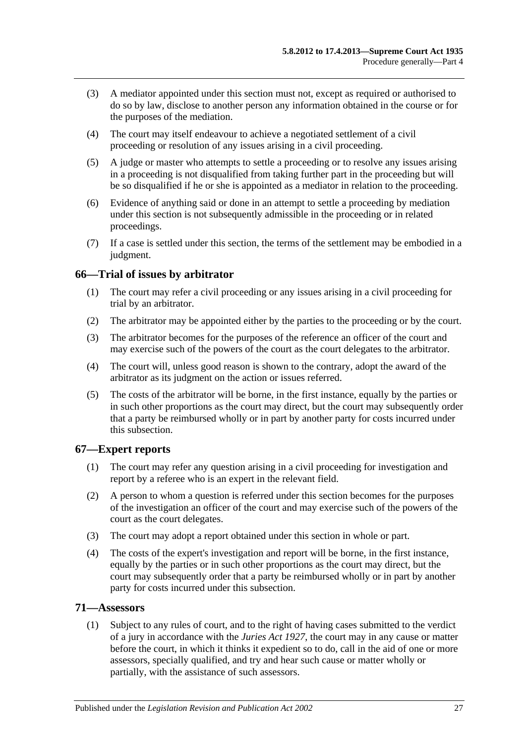- (3) A mediator appointed under this section must not, except as required or authorised to do so by law, disclose to another person any information obtained in the course or for the purposes of the mediation.
- (4) The court may itself endeavour to achieve a negotiated settlement of a civil proceeding or resolution of any issues arising in a civil proceeding.
- (5) A judge or master who attempts to settle a proceeding or to resolve any issues arising in a proceeding is not disqualified from taking further part in the proceeding but will be so disqualified if he or she is appointed as a mediator in relation to the proceeding.
- (6) Evidence of anything said or done in an attempt to settle a proceeding by mediation under this section is not subsequently admissible in the proceeding or in related proceedings.
- (7) If a case is settled under this section, the terms of the settlement may be embodied in a judgment.

## <span id="page-26-0"></span>**66—Trial of issues by arbitrator**

- (1) The court may refer a civil proceeding or any issues arising in a civil proceeding for trial by an arbitrator.
- (2) The arbitrator may be appointed either by the parties to the proceeding or by the court.
- (3) The arbitrator becomes for the purposes of the reference an officer of the court and may exercise such of the powers of the court as the court delegates to the arbitrator.
- (4) The court will, unless good reason is shown to the contrary, adopt the award of the arbitrator as its judgment on the action or issues referred.
- (5) The costs of the arbitrator will be borne, in the first instance, equally by the parties or in such other proportions as the court may direct, but the court may subsequently order that a party be reimbursed wholly or in part by another party for costs incurred under this subsection.

## <span id="page-26-1"></span>**67—Expert reports**

- (1) The court may refer any question arising in a civil proceeding for investigation and report by a referee who is an expert in the relevant field.
- (2) A person to whom a question is referred under this section becomes for the purposes of the investigation an officer of the court and may exercise such of the powers of the court as the court delegates.
- (3) The court may adopt a report obtained under this section in whole or part.
- (4) The costs of the expert's investigation and report will be borne, in the first instance, equally by the parties or in such other proportions as the court may direct, but the court may subsequently order that a party be reimbursed wholly or in part by another party for costs incurred under this subsection.

## <span id="page-26-2"></span>**71—Assessors**

(1) Subject to any rules of court, and to the right of having cases submitted to the verdict of a jury in accordance with the *[Juries Act](http://www.legislation.sa.gov.au/index.aspx?action=legref&type=act&legtitle=Juries%20Act%201927) 1927*, the court may in any cause or matter before the court, in which it thinks it expedient so to do, call in the aid of one or more assessors, specially qualified, and try and hear such cause or matter wholly or partially, with the assistance of such assessors.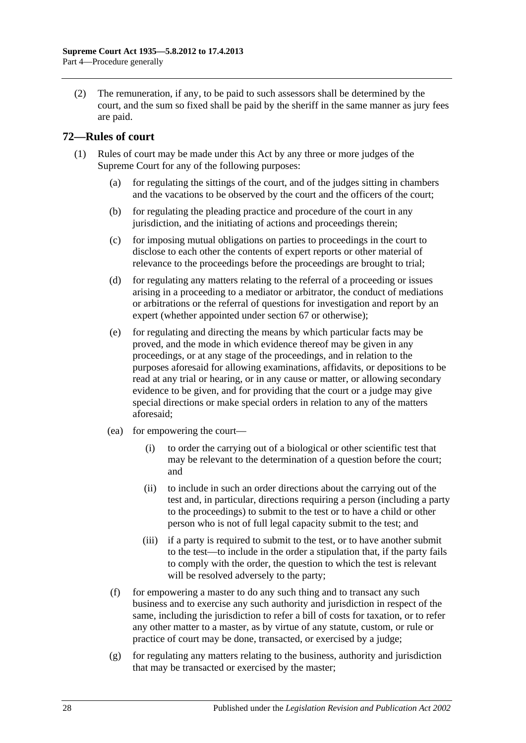(2) The remuneration, if any, to be paid to such assessors shall be determined by the court, and the sum so fixed shall be paid by the sheriff in the same manner as jury fees are paid.

## <span id="page-27-0"></span>**72—Rules of court**

- (1) Rules of court may be made under this Act by any three or more judges of the Supreme Court for any of the following purposes:
	- (a) for regulating the sittings of the court, and of the judges sitting in chambers and the vacations to be observed by the court and the officers of the court;
	- (b) for regulating the pleading practice and procedure of the court in any jurisdiction, and the initiating of actions and proceedings therein;
	- (c) for imposing mutual obligations on parties to proceedings in the court to disclose to each other the contents of expert reports or other material of relevance to the proceedings before the proceedings are brought to trial;
	- (d) for regulating any matters relating to the referral of a proceeding or issues arising in a proceeding to a mediator or arbitrator, the conduct of mediations or arbitrations or the referral of questions for investigation and report by an expert (whether appointed under [section](#page-26-1) 67 or otherwise);
	- (e) for regulating and directing the means by which particular facts may be proved, and the mode in which evidence thereof may be given in any proceedings, or at any stage of the proceedings, and in relation to the purposes aforesaid for allowing examinations, affidavits, or depositions to be read at any trial or hearing, or in any cause or matter, or allowing secondary evidence to be given, and for providing that the court or a judge may give special directions or make special orders in relation to any of the matters aforesaid;
	- (ea) for empowering the court—
		- (i) to order the carrying out of a biological or other scientific test that may be relevant to the determination of a question before the court; and
		- (ii) to include in such an order directions about the carrying out of the test and, in particular, directions requiring a person (including a party to the proceedings) to submit to the test or to have a child or other person who is not of full legal capacity submit to the test; and
		- (iii) if a party is required to submit to the test, or to have another submit to the test—to include in the order a stipulation that, if the party fails to comply with the order, the question to which the test is relevant will be resolved adversely to the party;
	- (f) for empowering a master to do any such thing and to transact any such business and to exercise any such authority and jurisdiction in respect of the same, including the jurisdiction to refer a bill of costs for taxation, or to refer any other matter to a master, as by virtue of any statute, custom, or rule or practice of court may be done, transacted, or exercised by a judge;
	- $(g)$  for regulating any matters relating to the business, authority and jurisdiction that may be transacted or exercised by the master;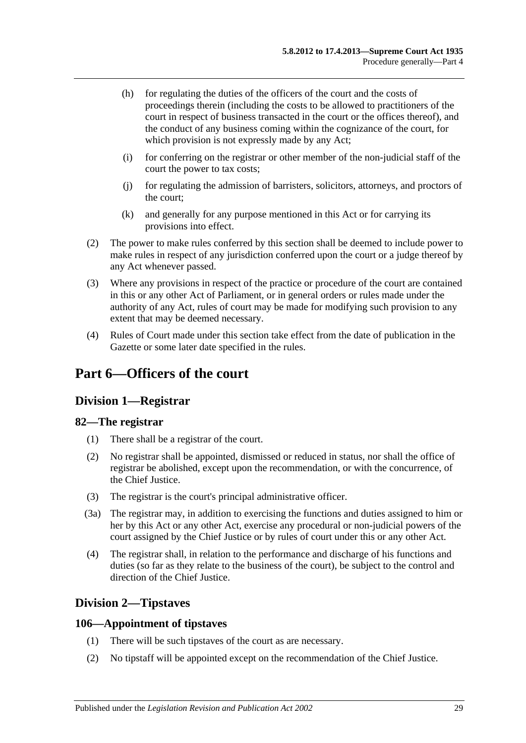- (h) for regulating the duties of the officers of the court and the costs of proceedings therein (including the costs to be allowed to practitioners of the court in respect of business transacted in the court or the offices thereof), and the conduct of any business coming within the cognizance of the court, for which provision is not expressly made by any Act;
- (i) for conferring on the registrar or other member of the non-judicial staff of the court the power to tax costs;
- (j) for regulating the admission of barristers, solicitors, attorneys, and proctors of the court;
- (k) and generally for any purpose mentioned in this Act or for carrying its provisions into effect.
- (2) The power to make rules conferred by this section shall be deemed to include power to make rules in respect of any jurisdiction conferred upon the court or a judge thereof by any Act whenever passed.
- (3) Where any provisions in respect of the practice or procedure of the court are contained in this or any other Act of Parliament, or in general orders or rules made under the authority of any Act, rules of court may be made for modifying such provision to any extent that may be deemed necessary.
- (4) Rules of Court made under this section take effect from the date of publication in the Gazette or some later date specified in the rules.

## <span id="page-28-1"></span><span id="page-28-0"></span>**Part 6—Officers of the court**

## **Division 1—Registrar**

## <span id="page-28-2"></span>**82—The registrar**

- (1) There shall be a registrar of the court.
- (2) No registrar shall be appointed, dismissed or reduced in status, nor shall the office of registrar be abolished, except upon the recommendation, or with the concurrence, of the Chief Justice.
- (3) The registrar is the court's principal administrative officer.
- (3a) The registrar may, in addition to exercising the functions and duties assigned to him or her by this Act or any other Act, exercise any procedural or non-judicial powers of the court assigned by the Chief Justice or by rules of court under this or any other Act.
- (4) The registrar shall, in relation to the performance and discharge of his functions and duties (so far as they relate to the business of the court), be subject to the control and direction of the Chief Justice.

## <span id="page-28-3"></span>**Division 2—Tipstaves**

## <span id="page-28-4"></span>**106—Appointment of tipstaves**

- (1) There will be such tipstaves of the court as are necessary.
- (2) No tipstaff will be appointed except on the recommendation of the Chief Justice.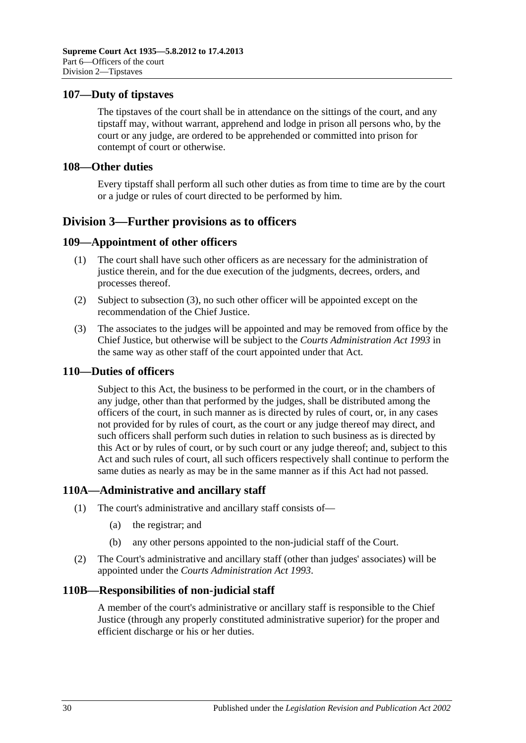### <span id="page-29-0"></span>**107—Duty of tipstaves**

The tipstaves of the court shall be in attendance on the sittings of the court, and any tipstaff may, without warrant, apprehend and lodge in prison all persons who, by the court or any judge, are ordered to be apprehended or committed into prison for contempt of court or otherwise.

#### <span id="page-29-1"></span>**108—Other duties**

Every tipstaff shall perform all such other duties as from time to time are by the court or a judge or rules of court directed to be performed by him.

## <span id="page-29-2"></span>**Division 3—Further provisions as to officers**

### <span id="page-29-3"></span>**109—Appointment of other officers**

- (1) The court shall have such other officers as are necessary for the administration of justice therein, and for the due execution of the judgments, decrees, orders, and processes thereof.
- (2) Subject to [subsection](#page-29-7) (3), no such other officer will be appointed except on the recommendation of the Chief Justice.
- <span id="page-29-7"></span>(3) The associates to the judges will be appointed and may be removed from office by the Chief Justice, but otherwise will be subject to the *[Courts Administration Act](http://www.legislation.sa.gov.au/index.aspx?action=legref&type=act&legtitle=Courts%20Administration%20Act%201993) 1993* in the same way as other staff of the court appointed under that Act.

#### <span id="page-29-4"></span>**110—Duties of officers**

Subject to this Act, the business to be performed in the court, or in the chambers of any judge, other than that performed by the judges, shall be distributed among the officers of the court, in such manner as is directed by rules of court, or, in any cases not provided for by rules of court, as the court or any judge thereof may direct, and such officers shall perform such duties in relation to such business as is directed by this Act or by rules of court, or by such court or any judge thereof; and, subject to this Act and such rules of court, all such officers respectively shall continue to perform the same duties as nearly as may be in the same manner as if this Act had not passed.

## <span id="page-29-5"></span>**110A—Administrative and ancillary staff**

- (1) The court's administrative and ancillary staff consists of—
	- (a) the registrar; and
	- (b) any other persons appointed to the non-judicial staff of the Court.
- (2) The Court's administrative and ancillary staff (other than judges' associates) will be appointed under the *[Courts Administration Act](http://www.legislation.sa.gov.au/index.aspx?action=legref&type=act&legtitle=Courts%20Administration%20Act%201993) 1993*.

#### <span id="page-29-6"></span>**110B—Responsibilities of non-judicial staff**

A member of the court's administrative or ancillary staff is responsible to the Chief Justice (through any properly constituted administrative superior) for the proper and efficient discharge or his or her duties.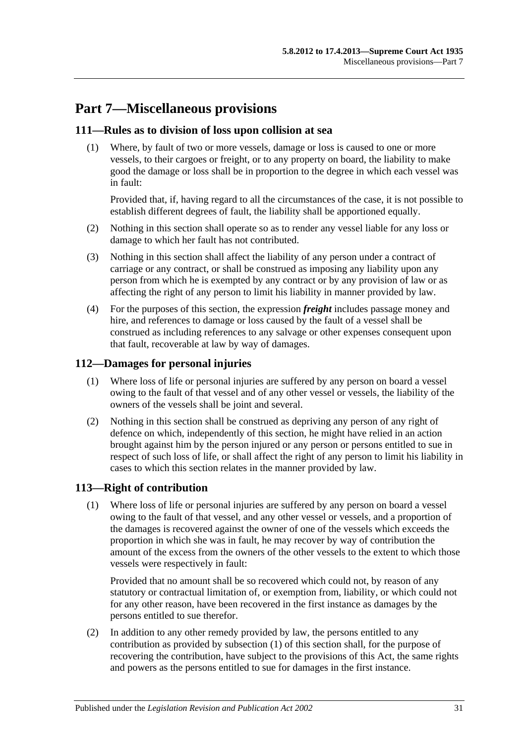# <span id="page-30-0"></span>**Part 7—Miscellaneous provisions**

## <span id="page-30-1"></span>**111—Rules as to division of loss upon collision at sea**

(1) Where, by fault of two or more vessels, damage or loss is caused to one or more vessels, to their cargoes or freight, or to any property on board, the liability to make good the damage or loss shall be in proportion to the degree in which each vessel was in fault:

Provided that, if, having regard to all the circumstances of the case, it is not possible to establish different degrees of fault, the liability shall be apportioned equally.

- (2) Nothing in this section shall operate so as to render any vessel liable for any loss or damage to which her fault has not contributed.
- (3) Nothing in this section shall affect the liability of any person under a contract of carriage or any contract, or shall be construed as imposing any liability upon any person from which he is exempted by any contract or by any provision of law or as affecting the right of any person to limit his liability in manner provided by law.
- (4) For the purposes of this section, the expression *freight* includes passage money and hire, and references to damage or loss caused by the fault of a vessel shall be construed as including references to any salvage or other expenses consequent upon that fault, recoverable at law by way of damages.

## <span id="page-30-2"></span>**112—Damages for personal injuries**

- (1) Where loss of life or personal injuries are suffered by any person on board a vessel owing to the fault of that vessel and of any other vessel or vessels, the liability of the owners of the vessels shall be joint and several.
- (2) Nothing in this section shall be construed as depriving any person of any right of defence on which, independently of this section, he might have relied in an action brought against him by the person injured or any person or persons entitled to sue in respect of such loss of life, or shall affect the right of any person to limit his liability in cases to which this section relates in the manner provided by law.

## <span id="page-30-4"></span><span id="page-30-3"></span>**113—Right of contribution**

(1) Where loss of life or personal injuries are suffered by any person on board a vessel owing to the fault of that vessel, and any other vessel or vessels, and a proportion of the damages is recovered against the owner of one of the vessels which exceeds the proportion in which she was in fault, he may recover by way of contribution the amount of the excess from the owners of the other vessels to the extent to which those vessels were respectively in fault:

Provided that no amount shall be so recovered which could not, by reason of any statutory or contractual limitation of, or exemption from, liability, or which could not for any other reason, have been recovered in the first instance as damages by the persons entitled to sue therefor.

(2) In addition to any other remedy provided by law, the persons entitled to any contribution as provided by [subsection](#page-30-4) (1) of this section shall, for the purpose of recovering the contribution, have subject to the provisions of this Act, the same rights and powers as the persons entitled to sue for damages in the first instance.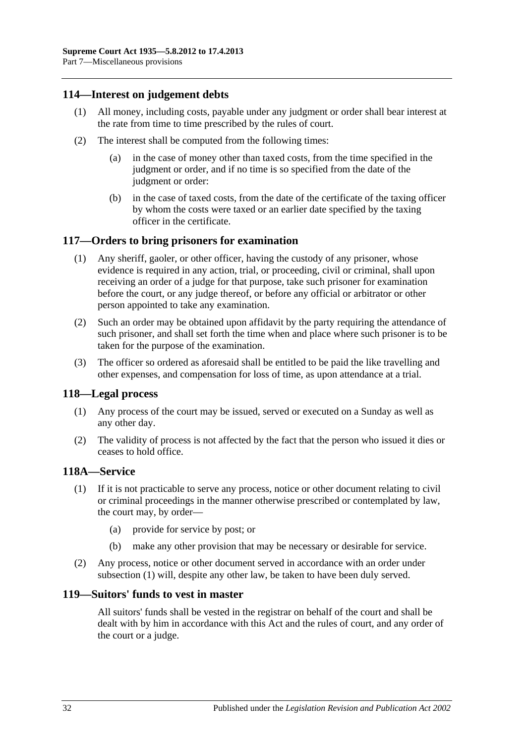## <span id="page-31-0"></span>**114—Interest on judgement debts**

- (1) All money, including costs, payable under any judgment or order shall bear interest at the rate from time to time prescribed by the rules of court.
- (2) The interest shall be computed from the following times:
	- (a) in the case of money other than taxed costs, from the time specified in the judgment or order, and if no time is so specified from the date of the judgment or order:
	- (b) in the case of taxed costs, from the date of the certificate of the taxing officer by whom the costs were taxed or an earlier date specified by the taxing officer in the certificate.

### <span id="page-31-1"></span>**117—Orders to bring prisoners for examination**

- (1) Any sheriff, gaoler, or other officer, having the custody of any prisoner, whose evidence is required in any action, trial, or proceeding, civil or criminal, shall upon receiving an order of a judge for that purpose, take such prisoner for examination before the court, or any judge thereof, or before any official or arbitrator or other person appointed to take any examination.
- (2) Such an order may be obtained upon affidavit by the party requiring the attendance of such prisoner, and shall set forth the time when and place where such prisoner is to be taken for the purpose of the examination.
- (3) The officer so ordered as aforesaid shall be entitled to be paid the like travelling and other expenses, and compensation for loss of time, as upon attendance at a trial.

#### <span id="page-31-2"></span>**118—Legal process**

- (1) Any process of the court may be issued, served or executed on a Sunday as well as any other day.
- (2) The validity of process is not affected by the fact that the person who issued it dies or ceases to hold office.

#### <span id="page-31-5"></span><span id="page-31-3"></span>**118A—Service**

- (1) If it is not practicable to serve any process, notice or other document relating to civil or criminal proceedings in the manner otherwise prescribed or contemplated by law, the court may, by order—
	- (a) provide for service by post; or
	- (b) make any other provision that may be necessary or desirable for service.
- (2) Any process, notice or other document served in accordance with an order under [subsection](#page-31-5) (1) will, despite any other law, be taken to have been duly served.

#### <span id="page-31-4"></span>**119—Suitors' funds to vest in master**

All suitors' funds shall be vested in the registrar on behalf of the court and shall be dealt with by him in accordance with this Act and the rules of court, and any order of the court or a judge.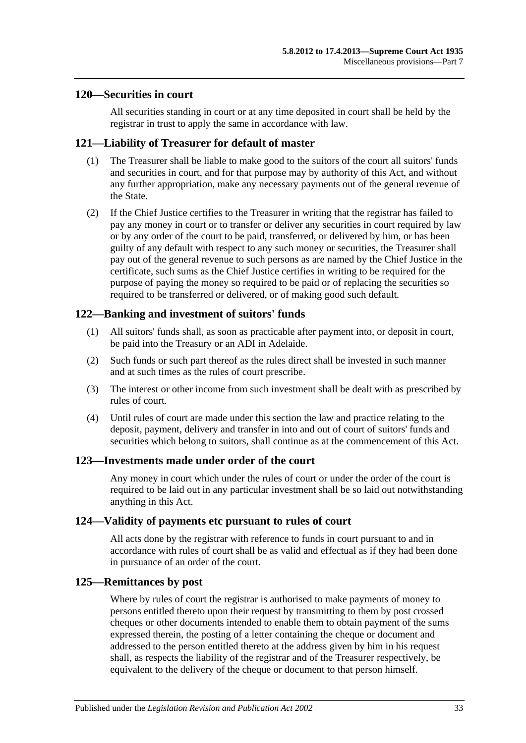#### <span id="page-32-0"></span>**120—Securities in court**

All securities standing in court or at any time deposited in court shall be held by the registrar in trust to apply the same in accordance with law.

## <span id="page-32-1"></span>**121—Liability of Treasurer for default of master**

- (1) The Treasurer shall be liable to make good to the suitors of the court all suitors' funds and securities in court, and for that purpose may by authority of this Act, and without any further appropriation, make any necessary payments out of the general revenue of the State.
- (2) If the Chief Justice certifies to the Treasurer in writing that the registrar has failed to pay any money in court or to transfer or deliver any securities in court required by law or by any order of the court to be paid, transferred, or delivered by him, or has been guilty of any default with respect to any such money or securities, the Treasurer shall pay out of the general revenue to such persons as are named by the Chief Justice in the certificate, such sums as the Chief Justice certifies in writing to be required for the purpose of paying the money so required to be paid or of replacing the securities so required to be transferred or delivered, or of making good such default.

## <span id="page-32-2"></span>**122—Banking and investment of suitors' funds**

- (1) All suitors' funds shall, as soon as practicable after payment into, or deposit in court, be paid into the Treasury or an ADI in Adelaide.
- (2) Such funds or such part thereof as the rules direct shall be invested in such manner and at such times as the rules of court prescribe.
- (3) The interest or other income from such investment shall be dealt with as prescribed by rules of court.
- (4) Until rules of court are made under this section the law and practice relating to the deposit, payment, delivery and transfer in into and out of court of suitors' funds and securities which belong to suitors, shall continue as at the commencement of this Act.

#### <span id="page-32-3"></span>**123—Investments made under order of the court**

Any money in court which under the rules of court or under the order of the court is required to be laid out in any particular investment shall be so laid out notwithstanding anything in this Act.

#### <span id="page-32-4"></span>**124—Validity of payments etc pursuant to rules of court**

All acts done by the registrar with reference to funds in court pursuant to and in accordance with rules of court shall be as valid and effectual as if they had been done in pursuance of an order of the court.

#### <span id="page-32-5"></span>**125—Remittances by post**

Where by rules of court the registrar is authorised to make payments of money to persons entitled thereto upon their request by transmitting to them by post crossed cheques or other documents intended to enable them to obtain payment of the sums expressed therein, the posting of a letter containing the cheque or document and addressed to the person entitled thereto at the address given by him in his request shall, as respects the liability of the registrar and of the Treasurer respectively, be equivalent to the delivery of the cheque or document to that person himself.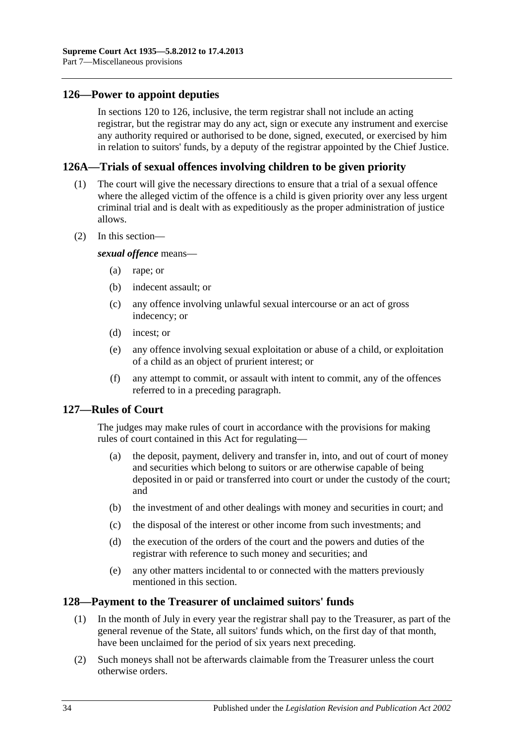## <span id="page-33-0"></span>**126—Power to appoint deputies**

In [sections](#page-32-0) 120 to 126, inclusive, the term registrar shall not include an acting registrar, but the registrar may do any act, sign or execute any instrument and exercise any authority required or authorised to be done, signed, executed, or exercised by him in relation to suitors' funds, by a deputy of the registrar appointed by the Chief Justice.

#### <span id="page-33-1"></span>**126A—Trials of sexual offences involving children to be given priority**

- (1) The court will give the necessary directions to ensure that a trial of a sexual offence where the alleged victim of the offence is a child is given priority over any less urgent criminal trial and is dealt with as expeditiously as the proper administration of justice allows.
- (2) In this section—

*sexual offence* means—

- (a) rape; or
- (b) indecent assault; or
- (c) any offence involving unlawful sexual intercourse or an act of gross indecency; or
- (d) incest; or
- (e) any offence involving sexual exploitation or abuse of a child, or exploitation of a child as an object of prurient interest; or
- (f) any attempt to commit, or assault with intent to commit, any of the offences referred to in a preceding paragraph.

#### <span id="page-33-2"></span>**127—Rules of Court**

The judges may make rules of court in accordance with the provisions for making rules of court contained in this Act for regulating—

- (a) the deposit, payment, delivery and transfer in, into, and out of court of money and securities which belong to suitors or are otherwise capable of being deposited in or paid or transferred into court or under the custody of the court; and
- (b) the investment of and other dealings with money and securities in court; and
- (c) the disposal of the interest or other income from such investments; and
- (d) the execution of the orders of the court and the powers and duties of the registrar with reference to such money and securities; and
- (e) any other matters incidental to or connected with the matters previously mentioned in this section.

### <span id="page-33-3"></span>**128—Payment to the Treasurer of unclaimed suitors' funds**

- (1) In the month of July in every year the registrar shall pay to the Treasurer, as part of the general revenue of the State, all suitors' funds which, on the first day of that month, have been unclaimed for the period of six years next preceding.
- (2) Such moneys shall not be afterwards claimable from the Treasurer unless the court otherwise orders.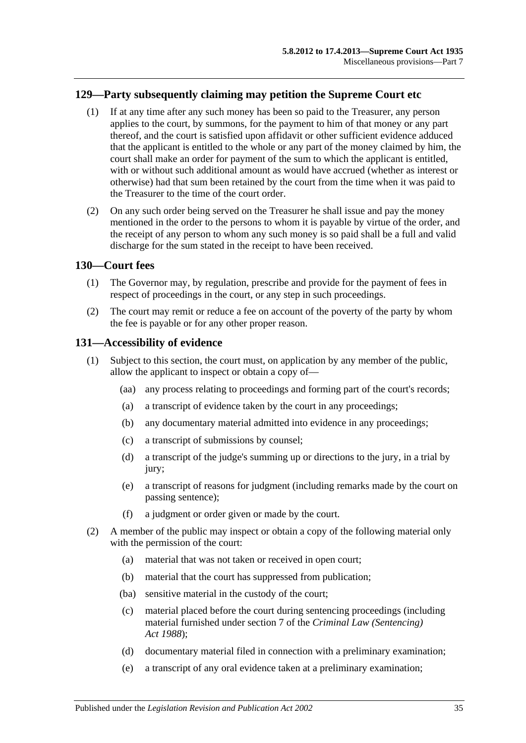## <span id="page-34-0"></span>**129—Party subsequently claiming may petition the Supreme Court etc**

- (1) If at any time after any such money has been so paid to the Treasurer, any person applies to the court, by summons, for the payment to him of that money or any part thereof, and the court is satisfied upon affidavit or other sufficient evidence adduced that the applicant is entitled to the whole or any part of the money claimed by him, the court shall make an order for payment of the sum to which the applicant is entitled, with or without such additional amount as would have accrued (whether as interest or otherwise) had that sum been retained by the court from the time when it was paid to the Treasurer to the time of the court order.
- (2) On any such order being served on the Treasurer he shall issue and pay the money mentioned in the order to the persons to whom it is payable by virtue of the order, and the receipt of any person to whom any such money is so paid shall be a full and valid discharge for the sum stated in the receipt to have been received.

### <span id="page-34-1"></span>**130—Court fees**

- (1) The Governor may, by regulation, prescribe and provide for the payment of fees in respect of proceedings in the court, or any step in such proceedings.
- (2) The court may remit or reduce a fee on account of the poverty of the party by whom the fee is payable or for any other proper reason.

#### <span id="page-34-2"></span>**131—Accessibility of evidence**

- (1) Subject to this section, the court must, on application by any member of the public, allow the applicant to inspect or obtain a copy of—
	- (aa) any process relating to proceedings and forming part of the court's records;
	- (a) a transcript of evidence taken by the court in any proceedings;
	- (b) any documentary material admitted into evidence in any proceedings;
	- (c) a transcript of submissions by counsel;
	- (d) a transcript of the judge's summing up or directions to the jury, in a trial by jury:
	- (e) a transcript of reasons for judgment (including remarks made by the court on passing sentence);
	- (f) a judgment or order given or made by the court.
- <span id="page-34-3"></span>(2) A member of the public may inspect or obtain a copy of the following material only with the permission of the court:
	- (a) material that was not taken or received in open court;
	- (b) material that the court has suppressed from publication;
	- (ba) sensitive material in the custody of the court;
	- (c) material placed before the court during sentencing proceedings (including material furnished under section 7 of the *[Criminal Law \(Sentencing\)](http://www.legislation.sa.gov.au/index.aspx?action=legref&type=act&legtitle=Criminal%20Law%20(Sentencing)%20Act%201988)  Act [1988](http://www.legislation.sa.gov.au/index.aspx?action=legref&type=act&legtitle=Criminal%20Law%20(Sentencing)%20Act%201988)*);
	- (d) documentary material filed in connection with a preliminary examination;
	- (e) a transcript of any oral evidence taken at a preliminary examination;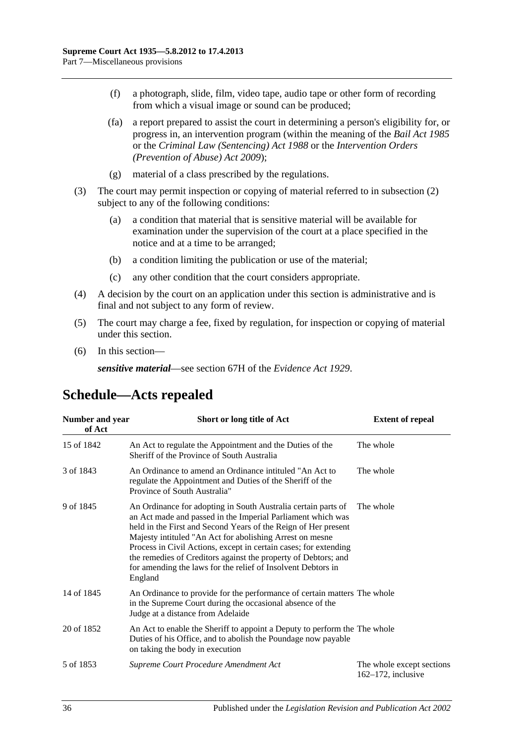- (f) a photograph, slide, film, video tape, audio tape or other form of recording from which a visual image or sound can be produced;
- (fa) a report prepared to assist the court in determining a person's eligibility for, or progress in, an intervention program (within the meaning of the *[Bail Act](http://www.legislation.sa.gov.au/index.aspx?action=legref&type=act&legtitle=Bail%20Act%201985) 1985* or the *[Criminal Law \(Sentencing\) Act](http://www.legislation.sa.gov.au/index.aspx?action=legref&type=act&legtitle=Criminal%20Law%20(Sentencing)%20Act%201988) 1988* or the *Intervention Orders (Prevention of Abuse) Act 2009*);
- (g) material of a class prescribed by the regulations.
- (3) The court may permit inspection or copying of material referred to in [subsection](#page-34-3) (2) subject to any of the following conditions:
	- (a) a condition that material that is sensitive material will be available for examination under the supervision of the court at a place specified in the notice and at a time to be arranged;
	- (b) a condition limiting the publication or use of the material;
	- (c) any other condition that the court considers appropriate.
- (4) A decision by the court on an application under this section is administrative and is final and not subject to any form of review.
- (5) The court may charge a fee, fixed by regulation, for inspection or copying of material under this section.
- (6) In this section—

*sensitive material*—see section 67H of the *[Evidence Act](http://www.legislation.sa.gov.au/index.aspx?action=legref&type=act&legtitle=Evidence%20Act%201929) 1929*.

## <span id="page-35-0"></span>**Schedule—Acts repealed**

| Number and year<br>of Act | Short or long title of Act                                                                                                                                                                                                                                                                                                                                                                                                                                                  | <b>Extent of repeal</b>                            |
|---------------------------|-----------------------------------------------------------------------------------------------------------------------------------------------------------------------------------------------------------------------------------------------------------------------------------------------------------------------------------------------------------------------------------------------------------------------------------------------------------------------------|----------------------------------------------------|
| 15 of 1842                | An Act to regulate the Appointment and the Duties of the<br>Sheriff of the Province of South Australia                                                                                                                                                                                                                                                                                                                                                                      | The whole                                          |
| 3 of 1843                 | An Ordinance to amend an Ordinance intituled "An Act to<br>regulate the Appointment and Duties of the Sheriff of the<br>Province of South Australia"                                                                                                                                                                                                                                                                                                                        | The whole                                          |
| 9 of 1845                 | An Ordinance for adopting in South Australia certain parts of<br>an Act made and passed in the Imperial Parliament which was<br>held in the First and Second Years of the Reign of Her present<br>Majesty intituled "An Act for abolishing Arrest on mesne<br>Process in Civil Actions, except in certain cases; for extending<br>the remedies of Creditors against the property of Debtors; and<br>for amending the laws for the relief of Insolvent Debtors in<br>England | The whole                                          |
| 14 of 1845                | An Ordinance to provide for the performance of certain matters The whole<br>in the Supreme Court during the occasional absence of the<br>Judge at a distance from Adelaide                                                                                                                                                                                                                                                                                                  |                                                    |
| 20 of 1852                | An Act to enable the Sheriff to appoint a Deputy to perform the The whole<br>Duties of his Office, and to abolish the Poundage now payable<br>on taking the body in execution                                                                                                                                                                                                                                                                                               |                                                    |
| 5 of 1853                 | Supreme Court Procedure Amendment Act                                                                                                                                                                                                                                                                                                                                                                                                                                       | The whole except sections<br>$162-172$ , inclusive |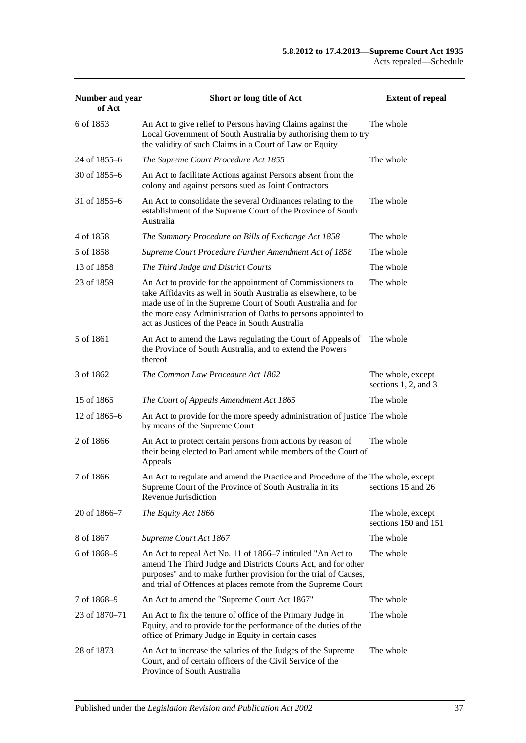| Number and year<br>of Act | Short or long title of Act                                                                                                                                                                                                                                                                                     | <b>Extent of repeal</b>                        |
|---------------------------|----------------------------------------------------------------------------------------------------------------------------------------------------------------------------------------------------------------------------------------------------------------------------------------------------------------|------------------------------------------------|
| 6 of 1853                 | An Act to give relief to Persons having Claims against the<br>Local Government of South Australia by authorising them to try<br>the validity of such Claims in a Court of Law or Equity                                                                                                                        | The whole                                      |
| 24 of 1855–6              | The Supreme Court Procedure Act 1855                                                                                                                                                                                                                                                                           | The whole                                      |
| 30 of $1855 - 6$          | An Act to facilitate Actions against Persons absent from the<br>colony and against persons sued as Joint Contractors                                                                                                                                                                                           |                                                |
| 31 of 1855–6              | An Act to consolidate the several Ordinances relating to the<br>establishment of the Supreme Court of the Province of South<br>Australia                                                                                                                                                                       | The whole                                      |
| 4 of 1858                 | The Summary Procedure on Bills of Exchange Act 1858                                                                                                                                                                                                                                                            | The whole                                      |
| 5 of 1858                 | Supreme Court Procedure Further Amendment Act of 1858                                                                                                                                                                                                                                                          | The whole                                      |
| 13 of 1858                | The Third Judge and District Courts                                                                                                                                                                                                                                                                            | The whole                                      |
| 23 of 1859                | An Act to provide for the appointment of Commissioners to<br>take Affidavits as well in South Australia as elsewhere, to be<br>made use of in the Supreme Court of South Australia and for<br>the more easy Administration of Oaths to persons appointed to<br>act as Justices of the Peace in South Australia | The whole                                      |
| 5 of 1861                 | An Act to amend the Laws regulating the Court of Appeals of<br>the Province of South Australia, and to extend the Powers<br>thereof                                                                                                                                                                            | The whole                                      |
| 3 of 1862                 | The Common Law Procedure Act 1862                                                                                                                                                                                                                                                                              | The whole, except<br>sections $1, 2$ , and $3$ |
| 15 of 1865                | The Court of Appeals Amendment Act 1865                                                                                                                                                                                                                                                                        | The whole                                      |
| 12 of 1865–6              | An Act to provide for the more speedy administration of justice The whole<br>by means of the Supreme Court                                                                                                                                                                                                     |                                                |
| 2 of 1866                 | An Act to protect certain persons from actions by reason of<br>their being elected to Parliament while members of the Court of<br>Appeals                                                                                                                                                                      | The whole                                      |
| 7 of 1866                 | An Act to regulate and amend the Practice and Procedure of the The whole, except<br>Supreme Court of the Province of South Australia in its<br>Revenue Jurisdiction                                                                                                                                            | sections 15 and 26                             |
| 20 of 1866-7              | The Equity Act 1866                                                                                                                                                                                                                                                                                            | The whole, except<br>sections 150 and 151      |
| 8 of 1867                 | Supreme Court Act 1867                                                                                                                                                                                                                                                                                         | The whole                                      |
| 6 of 1868-9               | An Act to repeal Act No. 11 of 1866–7 intituled "An Act to<br>amend The Third Judge and Districts Courts Act, and for other<br>purposes" and to make further provision for the trial of Causes,<br>and trial of Offences at places remote from the Supreme Court                                               | The whole                                      |
| 7 of 1868-9               | An Act to amend the "Supreme Court Act 1867"                                                                                                                                                                                                                                                                   | The whole                                      |
| 23 of 1870–71             | An Act to fix the tenure of office of the Primary Judge in<br>Equity, and to provide for the performance of the duties of the<br>office of Primary Judge in Equity in certain cases                                                                                                                            | The whole                                      |
| 28 of 1873                | An Act to increase the salaries of the Judges of the Supreme<br>Court, and of certain officers of the Civil Service of the<br>Province of South Australia                                                                                                                                                      | The whole                                      |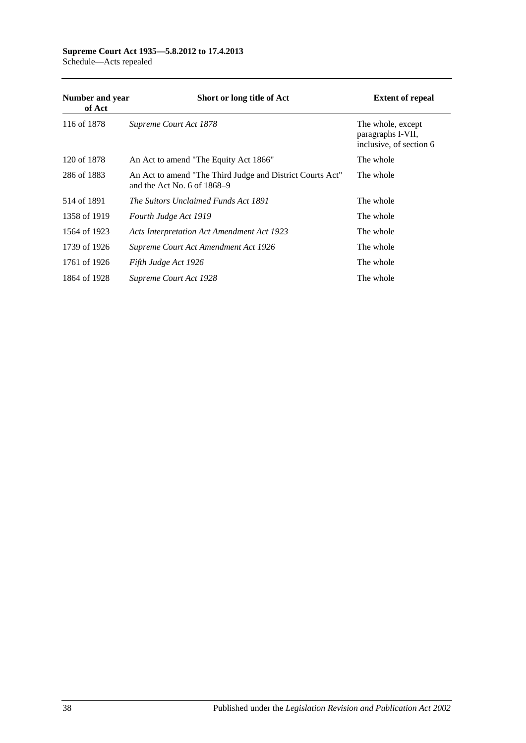#### **Supreme Court Act 1935—5.8.2012 to 17.4.2013** Schedule—Acts repealed

| Number and year<br>of Act | Short or long title of Act                                                                 | <b>Extent of repeal</b>                                           |
|---------------------------|--------------------------------------------------------------------------------------------|-------------------------------------------------------------------|
| 116 of 1878               | Supreme Court Act 1878                                                                     | The whole, except<br>paragraphs I-VII,<br>inclusive, of section 6 |
| 120 of 1878               | An Act to amend "The Equity Act 1866"                                                      | The whole                                                         |
| 286 of 1883               | An Act to amend "The Third Judge and District Courts Act"<br>and the Act No. 6 of $1868-9$ | The whole                                                         |
| 514 of 1891               | The Suitors Unclaimed Funds Act 1891                                                       | The whole                                                         |
| 1358 of 1919              | Fourth Judge Act 1919                                                                      | The whole                                                         |
| 1564 of 1923              | <b>Acts Interpretation Act Amendment Act 1923</b>                                          | The whole                                                         |
| 1739 of 1926              | Supreme Court Act Amendment Act 1926                                                       | The whole                                                         |
| 1761 of 1926              | Fifth Judge Act 1926                                                                       | The whole                                                         |
| 1864 of 1928              | Supreme Court Act 1928                                                                     | The whole                                                         |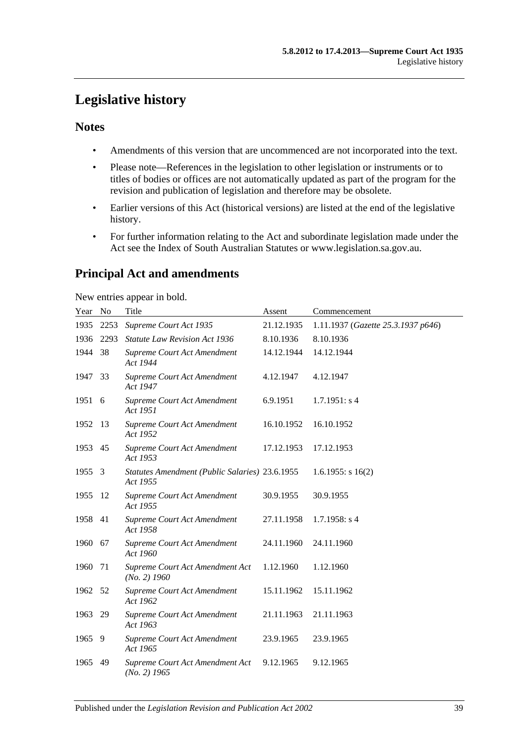# <span id="page-38-0"></span>**Legislative history**

## **Notes**

- Amendments of this version that are uncommenced are not incorporated into the text.
- Please note—References in the legislation to other legislation or instruments or to titles of bodies or offices are not automatically updated as part of the program for the revision and publication of legislation and therefore may be obsolete.
- Earlier versions of this Act (historical versions) are listed at the end of the legislative history.
- For further information relating to the Act and subordinate legislation made under the Act see the Index of South Australian Statutes or www.legislation.sa.gov.au.

## **Principal Act and amendments**

New entries appear in bold.

| Year No |      | Title                                                      | Assent     | Commencement                       |
|---------|------|------------------------------------------------------------|------------|------------------------------------|
| 1935    | 2253 | Supreme Court Act 1935                                     | 21.12.1935 | 1.11.1937 (Gazette 25.3.1937 p646) |
| 1936    | 2293 | <b>Statute Law Revision Act 1936</b>                       | 8.10.1936  | 8.10.1936                          |
| 1944    | 38   | Supreme Court Act Amendment<br>Act 1944                    | 14.12.1944 | 14.12.1944                         |
| 1947    | 33   | Supreme Court Act Amendment<br>Act 1947                    | 4.12.1947  | 4.12.1947                          |
| 1951 6  |      | Supreme Court Act Amendment<br>Act 1951                    | 6.9.1951   | 1.7.1951: s4                       |
| 1952    | 13   | Supreme Court Act Amendment<br>Act 1952                    | 16.10.1952 | 16.10.1952                         |
| 1953 45 |      | Supreme Court Act Amendment<br>Act 1953                    | 17.12.1953 | 17.12.1953                         |
| 1955    | 3    | Statutes Amendment (Public Salaries) 23.6.1955<br>Act 1955 |            | $1.6.1955$ : s $16(2)$             |
| 1955    | -12  | Supreme Court Act Amendment<br>Act 1955                    | 30.9.1955  | 30.9.1955                          |
| 1958 41 |      | Supreme Court Act Amendment<br>Act 1958                    | 27.11.1958 | $1.7.1958$ : s 4                   |
| 1960    | 67   | Supreme Court Act Amendment<br>Act 1960                    | 24.11.1960 | 24.11.1960                         |
| 1960    | 71   | Supreme Court Act Amendment Act<br>$(No. 2)$ 1960          | 1.12.1960  | 1.12.1960                          |
| 1962    | 52   | Supreme Court Act Amendment<br>Act 1962                    | 15.11.1962 | 15.11.1962                         |
| 1963    | 29   | Supreme Court Act Amendment<br>Act 1963                    | 21.11.1963 | 21.11.1963                         |
| 1965    | - 9  | Supreme Court Act Amendment<br>Act 1965                    | 23.9.1965  | 23.9.1965                          |
| 1965    | 49   | Supreme Court Act Amendment Act<br>$(No. 2)$ 1965          | 9.12.1965  | 9.12.1965                          |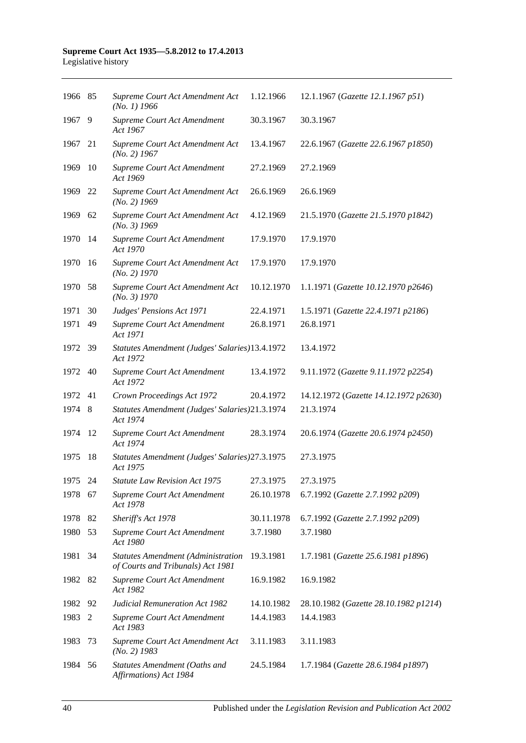#### **Supreme Court Act 1935—5.8.2012 to 17.4.2013** Legislative history

| 1966 85 |     | Supreme Court Act Amendment Act<br>$(No. 1)$ 1966                              | 1.12.1966  | 12.1.1967 (Gazette 12.1.1967 p51)     |
|---------|-----|--------------------------------------------------------------------------------|------------|---------------------------------------|
| 1967    | 9   | Supreme Court Act Amendment<br>Act 1967                                        | 30.3.1967  | 30.3.1967                             |
| 1967    | 21  | Supreme Court Act Amendment Act<br>$(No. 2)$ 1967                              | 13.4.1967  | 22.6.1967 (Gazette 22.6.1967 p1850)   |
| 1969    | 10  | Supreme Court Act Amendment<br>Act 1969                                        | 27.2.1969  | 27.2.1969                             |
| 1969    | -22 | Supreme Court Act Amendment Act<br>$(No. 2)$ 1969                              | 26.6.1969  | 26.6.1969                             |
| 1969    | 62  | Supreme Court Act Amendment Act<br>$(No. 3)$ 1969                              | 4.12.1969  | 21.5.1970 (Gazette 21.5.1970 p1842)   |
| 1970    | -14 | Supreme Court Act Amendment<br>Act 1970                                        | 17.9.1970  | 17.9.1970                             |
| 1970    | -16 | Supreme Court Act Amendment Act<br>$(No. 2)$ 1970                              | 17.9.1970  | 17.9.1970                             |
| 1970    | -58 | Supreme Court Act Amendment Act<br>(No. 3) 1970                                | 10.12.1970 | 1.1.1971 (Gazette 10.12.1970 p2646)   |
| 1971    | 30  | Judges' Pensions Act 1971                                                      | 22.4.1971  | 1.5.1971 (Gazette 22.4.1971 p2186)    |
| 1971    | 49  | Supreme Court Act Amendment<br>Act 1971                                        | 26.8.1971  | 26.8.1971                             |
| 1972    | -39 | Statutes Amendment (Judges' Salaries)13.4.1972<br>Act 1972                     |            | 13.4.1972                             |
| 1972    | 40  | Supreme Court Act Amendment<br>Act 1972                                        | 13.4.1972  | 9.11.1972 (Gazette 9.11.1972 p2254)   |
| 1972    | 41  | Crown Proceedings Act 1972                                                     | 20.4.1972  | 14.12.1972 (Gazette 14.12.1972 p2630) |
| 1974    | 8   | Statutes Amendment (Judges' Salaries)21.3.1974<br>Act 1974                     |            | 21.3.1974                             |
| 1974    | -12 | Supreme Court Act Amendment<br>Act 1974                                        | 28.3.1974  | 20.6.1974 (Gazette 20.6.1974 p2450)   |
| 1975    | 18  | Statutes Amendment (Judges' Salaries) 27.3.1975<br>Act 1975                    |            | 27.3.1975                             |
| 1975    | 24  | <b>Statute Law Revision Act 1975</b>                                           | 27.3.1975  | 27.3.1975                             |
| 1978    | 67  | Supreme Court Act Amendment<br>Act 1978                                        | 26.10.1978 | 6.7.1992 (Gazette 2.7.1992 p209)      |
| 1978    | 82  | Sheriff's Act 1978                                                             | 30.11.1978 | 6.7.1992 (Gazette 2.7.1992 p209)      |
| 1980    | 53  | Supreme Court Act Amendment<br>Act 1980                                        | 3.7.1980   | 3.7.1980                              |
| 1981    | 34  | <b>Statutes Amendment (Administration</b><br>of Courts and Tribunals) Act 1981 | 19.3.1981  | 1.7.1981 (Gazette 25.6.1981 p1896)    |
| 1982    | 82  | Supreme Court Act Amendment<br>Act 1982                                        | 16.9.1982  | 16.9.1982                             |
| 1982    | 92  | <b>Judicial Remuneration Act 1982</b>                                          | 14.10.1982 | 28.10.1982 (Gazette 28.10.1982 p1214) |
| 1983    | 2   | Supreme Court Act Amendment<br>Act 1983                                        | 14.4.1983  | 14.4.1983                             |
| 1983    | 73  | Supreme Court Act Amendment Act<br>$(No. 2)$ 1983                              | 3.11.1983  | 3.11.1983                             |
| 1984    | 56  | Statutes Amendment (Oaths and<br>Affirmations) Act 1984                        | 24.5.1984  | 1.7.1984 (Gazette 28.6.1984 p1897)    |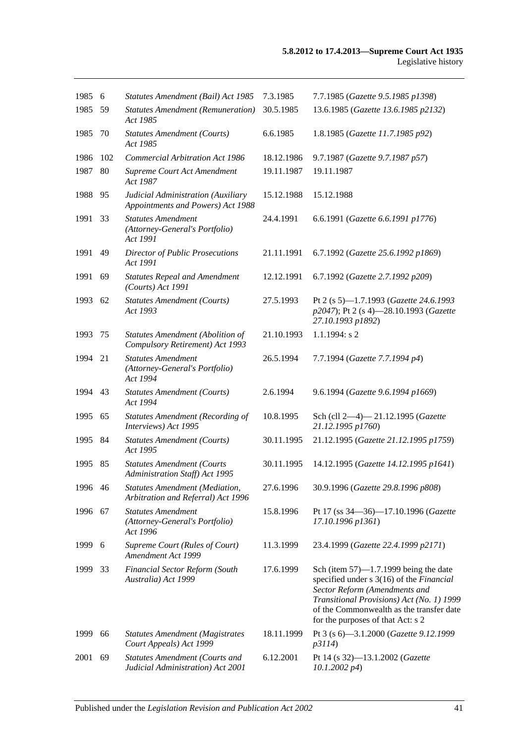| 1985 6  |     | Statutes Amendment (Bail) Act 1985                                         | 7.3.1985   | 7.7.1985 (Gazette 9.5.1985 p1398)                                                                                                                                                                                                                   |
|---------|-----|----------------------------------------------------------------------------|------------|-----------------------------------------------------------------------------------------------------------------------------------------------------------------------------------------------------------------------------------------------------|
| 1985    | 59  | <b>Statutes Amendment (Remuneration)</b><br>Act 1985                       | 30.5.1985  | 13.6.1985 (Gazette 13.6.1985 p2132)                                                                                                                                                                                                                 |
| 1985    | 70  | <b>Statutes Amendment (Courts)</b><br>Act 1985                             | 6.6.1985   | 1.8.1985 (Gazette 11.7.1985 p92)                                                                                                                                                                                                                    |
| 1986    | 102 | <b>Commercial Arbitration Act 1986</b>                                     | 18.12.1986 | 9.7.1987 (Gazette 9.7.1987 p57)                                                                                                                                                                                                                     |
| 1987    | 80  | Supreme Court Act Amendment<br>Act 1987                                    | 19.11.1987 | 19.11.1987                                                                                                                                                                                                                                          |
| 1988    | 95  | Judicial Administration (Auxiliary<br>Appointments and Powers) Act 1988    | 15.12.1988 | 15.12.1988                                                                                                                                                                                                                                          |
| 1991    | 33  | <b>Statutes Amendment</b><br>(Attorney-General's Portfolio)<br>Act 1991    | 24.4.1991  | 6.6.1991 (Gazette 6.6.1991 p1776)                                                                                                                                                                                                                   |
| 1991    | 49  | <b>Director of Public Prosecutions</b><br>Act 1991                         | 21.11.1991 | 6.7.1992 (Gazette 25.6.1992 p1869)                                                                                                                                                                                                                  |
| 1991    | 69  | <b>Statutes Repeal and Amendment</b><br>$(Courts)$ Act 1991                | 12.12.1991 | 6.7.1992 (Gazette 2.7.1992 p209)                                                                                                                                                                                                                    |
| 1993    | 62  | <b>Statutes Amendment (Courts)</b><br>Act 1993                             | 27.5.1993  | Pt 2 (s 5)-1.7.1993 (Gazette 24.6.1993<br>p2047); Pt 2 (s 4)-28.10.1993 (Gazette<br>27.10.1993 p1892)                                                                                                                                               |
| 1993    | 75  | Statutes Amendment (Abolition of<br>Compulsory Retirement) Act 1993        | 21.10.1993 | 1.1.1994: s 2                                                                                                                                                                                                                                       |
| 1994    | 21  | <b>Statutes Amendment</b><br>(Attorney-General's Portfolio)<br>Act 1994    | 26.5.1994  | 7.7.1994 (Gazette 7.7.1994 p4)                                                                                                                                                                                                                      |
| 1994    | 43  | <b>Statutes Amendment (Courts)</b><br>Act 1994                             | 2.6.1994   | 9.6.1994 (Gazette 9.6.1994 p1669)                                                                                                                                                                                                                   |
| 1995    | 65  | <b>Statutes Amendment (Recording of</b><br>Interviews) Act 1995            | 10.8.1995  | Sch (cll 2-4)-21.12.1995 (Gazette<br>21.12.1995 p1760)                                                                                                                                                                                              |
| 1995    | 84  | <b>Statutes Amendment (Courts)</b><br>Act 1995                             | 30.11.1995 | 21.12.1995 (Gazette 21.12.1995 p1759)                                                                                                                                                                                                               |
| 1995    | 85  | <b>Statutes Amendment (Courts</b><br>Administration Staff) Act 1995        | 30.11.1995 | 14.12.1995 (Gazette 14.12.1995 p1641)                                                                                                                                                                                                               |
| 1996 46 |     | Statutes Amendment (Mediation,<br>Arbitration and Referral) Act 1996       | 27.6.1996  | 30.9.1996 (Gazette 29.8.1996 p808)                                                                                                                                                                                                                  |
| 1996    | 67  | <b>Statutes Amendment</b><br>(Attorney-General's Portfolio)<br>Act 1996    | 15.8.1996  | Pt 17 (ss 34-36)-17.10.1996 (Gazette<br>17.10.1996 p1361)                                                                                                                                                                                           |
| 1999    | 6   | Supreme Court (Rules of Court)<br>Amendment Act 1999                       | 11.3.1999  | 23.4.1999 (Gazette 22.4.1999 p2171)                                                                                                                                                                                                                 |
| 1999    | 33  | Financial Sector Reform (South<br>Australia) Act 1999                      | 17.6.1999  | Sch (item $57$ )—1.7.1999 being the date<br>specified under s 3(16) of the Financial<br>Sector Reform (Amendments and<br>Transitional Provisions) Act (No. 1) 1999<br>of the Commonwealth as the transfer date<br>for the purposes of that Act: s 2 |
| 1999    | 66  | <b>Statutes Amendment (Magistrates</b><br>Court Appeals) Act 1999          | 18.11.1999 | Pt 3 (s 6)-3.1.2000 (Gazette 9.12.1999<br>p3114)                                                                                                                                                                                                    |
| 2001    | 69  | <b>Statutes Amendment (Courts and</b><br>Judicial Administration) Act 2001 | 6.12.2001  | Pt 14 (s 32)-13.1.2002 (Gazette<br>$10.1.2002\ p4$                                                                                                                                                                                                  |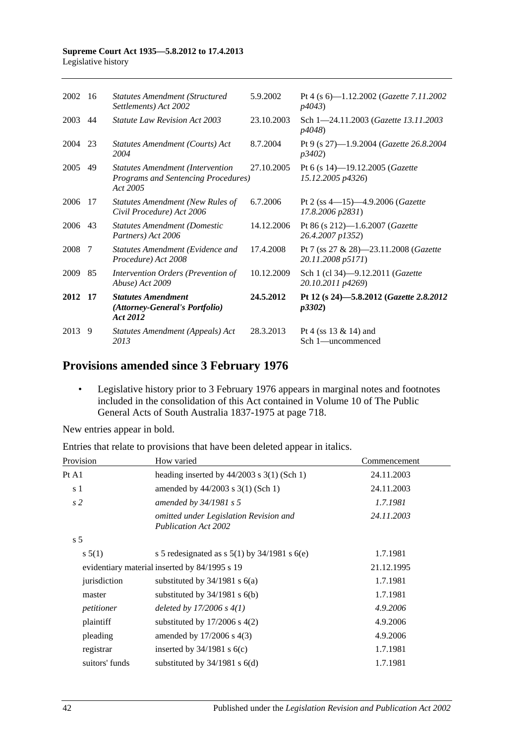#### **Supreme Court Act 1935—5.8.2012 to 17.4.2013** Legislative history

| 2013    | 9   | Statutes Amendment (Appeals) Act<br>2013                                                   | 28.3.2013  | Pt 4 (ss $13 \& 14$ ) and<br>Sch 1—uncommenced                     |
|---------|-----|--------------------------------------------------------------------------------------------|------------|--------------------------------------------------------------------|
| 2012    | -17 | <b>Statutes Amendment</b><br>(Attorney-General's Portfolio)<br>Act 2012                    | 24.5.2012  | Pt 12 (s 24)-5.8.2012 (Gazette 2.8.2012<br><i>p3302</i> )          |
| 2009    | 85  | Intervention Orders (Prevention of<br>Abuse) Act 2009                                      | 10.12.2009 | Sch 1 (cl 34)-9.12.2011 (Gazette<br>20.10.2011 p4269)              |
| 2008    | -7  | Statutes Amendment (Evidence and<br>Procedure) Act 2008                                    | 17.4.2008  | Pt 7 (ss 27 & 28)—23.11.2008 ( <i>Gazette</i><br>20.11.2008 p5171) |
| 2006 43 |     | <b>Statutes Amendment (Domestic</b><br>Partners) Act 2006                                  | 14.12.2006 | Pt 86 (s 212)-1.6.2007 (Gazette<br>26.4.2007 p1352)                |
| 2006    | 17  | Statutes Amendment (New Rules of<br>Civil Procedure) Act 2006                              | 6.7.2006   | Pt 2 (ss $4-15$ ) $-4.9.2006$ ( <i>Gazette</i><br>17.8.2006 p2831) |
| 2005    | 49  | <b>Statutes Amendment (Intervention</b><br>Programs and Sentencing Procedures)<br>Act 2005 | 27.10.2005 | Pt 6 (s 14)-19.12.2005 (Gazette<br>15.12.2005 p4326)               |
| 2004    | 23  | Statutes Amendment (Courts) Act<br>2004                                                    | 8.7.2004   | Pt 9 (s 27)-1.9.2004 ( <i>Gazette</i> 26.8.2004<br>p3402)          |
| 2003    | 44  | <i>Statute Law Revision Act 2003</i>                                                       | 23.10.2003 | Sch 1-24.11.2003 (Gazette 13.11.2003<br><i>p4048</i> )             |
| 2002    | 16  | <b>Statutes Amendment (Structured)</b><br>Settlements) Act 2002                            | 5.9.2002   | Pt 4 (s 6)-1.12.2002 (Gazette 7.11.2002<br><i>p4043</i> )          |
|         |     |                                                                                            |            |                                                                    |

## **Provisions amended since 3 February 1976**

• Legislative history prior to 3 February 1976 appears in marginal notes and footnotes included in the consolidation of this Act contained in Volume 10 of The Public General Acts of South Australia 1837-1975 at page 718.

New entries appear in bold.

| Provision      | How varied                                                            | Commencement |
|----------------|-----------------------------------------------------------------------|--------------|
| Pt A1          | heading inserted by $44/2003$ s 3(1) (Sch 1)                          | 24.11.2003   |
| s <sub>1</sub> | amended by 44/2003 s 3(1) (Sch 1)                                     | 24.11.2003   |
| s <sub>2</sub> | amended by $34/1981$ s 5                                              | 1.7.1981     |
|                | omitted under Legislation Revision and<br><b>Publication Act 2002</b> | 24.11.2003   |
| s <sub>5</sub> |                                                                       |              |
| s 5(1)         | s 5 redesignated as $s$ 5(1) by 34/1981 s 6(e)                        | 1.7.1981     |
|                | evidentiary material inserted by 84/1995 s 19                         | 21.12.1995   |
| jurisdiction   | substituted by $34/1981$ s $6(a)$                                     | 1.7.1981     |
| master         | substituted by $34/1981$ s $6(b)$                                     | 1.7.1981     |
| petitioner     | deleted by $17/2006 s 4(1)$                                           | 4.9.2006     |
| plaintiff      | substituted by $17/2006$ s $4(2)$                                     | 4.9.2006     |
| pleading       | amended by $17/2006$ s 4(3)                                           | 4.9.2006     |
| registrar      | inserted by $34/1981$ s $6(c)$                                        | 1.7.1981     |
| suitors' funds | substituted by $34/1981$ s $6(d)$                                     | 1.7.1981     |

Entries that relate to provisions that have been deleted appear in italics.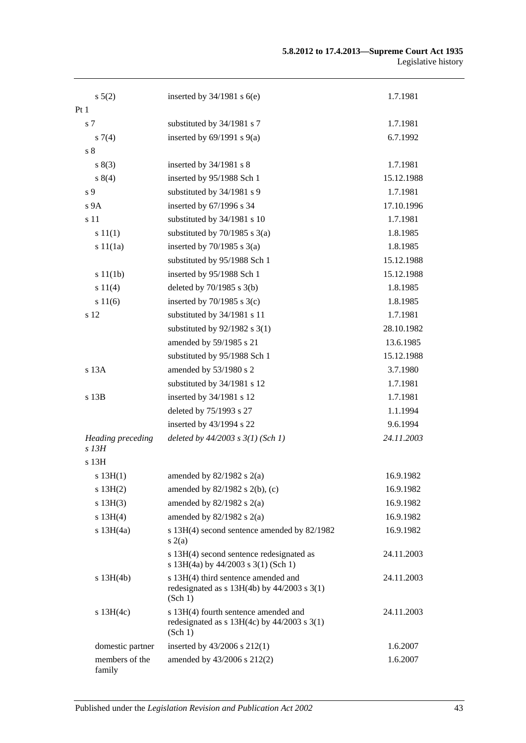#### **5.8.2012 to 17.4.2013—Supreme Court Act 1935** Legislative history

| $s\ 5(2)$                           | inserted by $34/1981$ s $6(e)$                                                                     | 1.7.1981   |
|-------------------------------------|----------------------------------------------------------------------------------------------------|------------|
| Pt <sub>1</sub>                     |                                                                                                    |            |
| s <sub>7</sub>                      | substituted by 34/1981 s 7                                                                         | 1.7.1981   |
| $s \, 7(4)$                         | inserted by $69/1991$ s $9(a)$                                                                     | 6.7.1992   |
| s <sub>8</sub>                      |                                                                                                    |            |
| s(3)                                | inserted by 34/1981 s 8                                                                            | 1.7.1981   |
| s 8(4)                              | inserted by 95/1988 Sch 1                                                                          | 15.12.1988 |
| s 9                                 | substituted by 34/1981 s 9                                                                         | 1.7.1981   |
| s 9A                                | inserted by 67/1996 s 34                                                                           | 17.10.1996 |
| s 11                                | substituted by 34/1981 s 10                                                                        | 1.7.1981   |
| s 11(1)                             | substituted by $70/1985$ s $3(a)$                                                                  | 1.8.1985   |
| s11(1a)                             | inserted by $70/1985$ s $3(a)$                                                                     | 1.8.1985   |
|                                     | substituted by 95/1988 Sch 1                                                                       | 15.12.1988 |
| s 11(1b)                            | inserted by 95/1988 Sch 1                                                                          | 15.12.1988 |
| s 11(4)                             | deleted by $70/1985$ s $3(b)$                                                                      | 1.8.1985   |
| s 11(6)                             | inserted by $70/1985$ s $3(c)$                                                                     | 1.8.1985   |
| s 12                                | substituted by 34/1981 s 11                                                                        | 1.7.1981   |
|                                     | substituted by $92/1982$ s 3(1)                                                                    | 28.10.1982 |
|                                     | amended by 59/1985 s 21                                                                            | 13.6.1985  |
|                                     | substituted by 95/1988 Sch 1                                                                       | 15.12.1988 |
| s 13A                               | amended by 53/1980 s 2                                                                             | 3.7.1980   |
|                                     | substituted by 34/1981 s 12                                                                        | 1.7.1981   |
| s 13B                               | inserted by 34/1981 s 12                                                                           | 1.7.1981   |
|                                     | deleted by 75/1993 s 27                                                                            | 1.1.1994   |
|                                     | inserted by 43/1994 s 22                                                                           | 9.6.1994   |
| <b>Heading</b> preceding<br>$s$ 13H | deleted by $44/2003$ s $3(1)$ (Sch 1)                                                              | 24.11.2003 |
| s 13H                               |                                                                                                    |            |
| s 13H(1)                            | amended by $82/1982$ s $2(a)$                                                                      | 16.9.1982  |
| s 13H(2)                            | amended by $82/1982$ s $2(b)$ , (c)                                                                | 16.9.1982  |
| s 13H(3)                            | amended by $82/1982$ s $2(a)$                                                                      | 16.9.1982  |
| s 13H(4)                            | amended by $82/1982$ s $2(a)$                                                                      | 16.9.1982  |
| $s$ 13H $(4a)$                      | s 13H(4) second sentence amended by 82/1982<br>s(2(a)                                              | 16.9.1982  |
|                                     | s 13H(4) second sentence redesignated as<br>s 13H(4a) by 44/2003 s 3(1) (Sch 1)                    | 24.11.2003 |
| $s$ 13H(4b)                         | s 13H(4) third sentence amended and<br>redesignated as $s$ 13H(4b) by 44/2003 $s$ 3(1)<br>(Sch 1)  | 24.11.2003 |
| $s$ 13H(4c)                         | s 13H(4) fourth sentence amended and<br>redesignated as $s$ 13H(4c) by 44/2003 $s$ 3(1)<br>(Sch 1) | 24.11.2003 |
| domestic partner                    | inserted by 43/2006 s 212(1)                                                                       | 1.6.2007   |
| members of the<br>family            | amended by 43/2006 s 212(2)                                                                        | 1.6.2007   |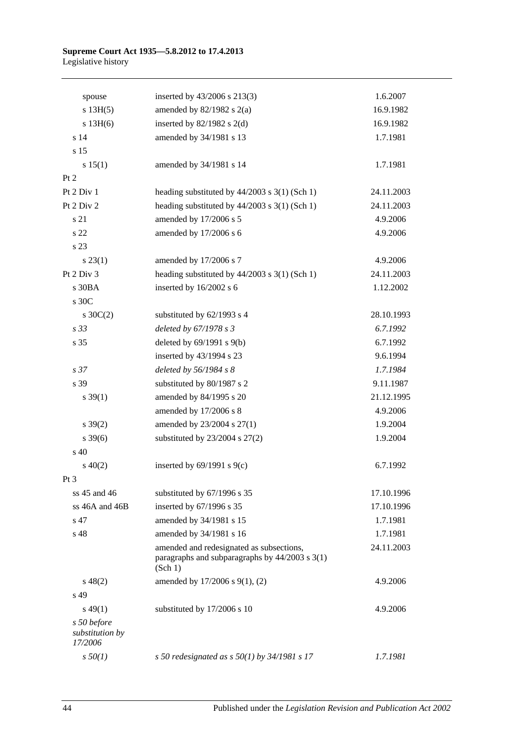#### **Supreme Court Act 1935—5.8.2012 to 17.4.2013** Legislative history

| spouse                                    | inserted by 43/2006 s 213(3)                                                                          | 1.6.2007   |
|-------------------------------------------|-------------------------------------------------------------------------------------------------------|------------|
| s 13H(5)                                  | amended by $82/1982$ s $2(a)$                                                                         | 16.9.1982  |
| $s$ 13H(6)                                | inserted by $82/1982$ s 2(d)                                                                          | 16.9.1982  |
| s 14                                      | amended by 34/1981 s 13                                                                               | 1.7.1981   |
| s <sub>15</sub>                           |                                                                                                       |            |
| s 15(1)                                   | amended by 34/1981 s 14                                                                               | 1.7.1981   |
| Pt 2                                      |                                                                                                       |            |
| Pt 2 Div 1                                | heading substituted by 44/2003 s 3(1) (Sch 1)                                                         | 24.11.2003 |
| Pt 2 Div 2                                | heading substituted by $44/2003$ s $3(1)$ (Sch 1)                                                     | 24.11.2003 |
| s 21                                      | amended by 17/2006 s 5                                                                                | 4.9.2006   |
| s 22                                      | amended by 17/2006 s 6                                                                                | 4.9.2006   |
| s 23                                      |                                                                                                       |            |
| $s\,23(1)$                                | amended by 17/2006 s 7                                                                                | 4.9.2006   |
| Pt 2 Div 3                                | heading substituted by 44/2003 s 3(1) (Sch 1)                                                         | 24.11.2003 |
| s 30BA                                    | inserted by 16/2002 s 6                                                                               | 1.12.2002  |
| s 30C                                     |                                                                                                       |            |
| $s \, 30C(2)$                             | substituted by 62/1993 s 4                                                                            | 28.10.1993 |
| s 33                                      | deleted by 67/1978 s 3                                                                                | 6.7.1992   |
| s 35                                      | deleted by $69/1991$ s $9(b)$                                                                         | 6.7.1992   |
|                                           | inserted by 43/1994 s 23                                                                              | 9.6.1994   |
| s <sub>37</sub>                           | deleted by $56/1984 s 8$                                                                              | 1.7.1984   |
| s 39                                      | substituted by 80/1987 s 2                                                                            | 9.11.1987  |
| $s \, 39(1)$                              | amended by 84/1995 s 20                                                                               | 21.12.1995 |
|                                           | amended by 17/2006 s 8                                                                                | 4.9.2006   |
| $s \, 39(2)$                              | amended by 23/2004 s 27(1)                                                                            | 1.9.2004   |
| $s \, 39(6)$                              | substituted by $23/2004$ s $27(2)$                                                                    | 1.9.2004   |
| s <sub>40</sub>                           |                                                                                                       |            |
| $s\ 40(2)$                                | inserted by $69/1991$ s $9(c)$                                                                        | 6.7.1992   |
| Pt 3                                      |                                                                                                       |            |
| ss 45 and 46                              | substituted by 67/1996 s 35                                                                           | 17.10.1996 |
| ss 46A and 46B                            | inserted by 67/1996 s 35                                                                              | 17.10.1996 |
| s 47                                      | amended by 34/1981 s 15                                                                               | 1.7.1981   |
| s 48                                      | amended by 34/1981 s 16                                                                               | 1.7.1981   |
|                                           | amended and redesignated as subsections,<br>paragraphs and subparagraphs by 44/2003 s 3(1)<br>(Sch 1) | 24.11.2003 |
| $s\,48(2)$                                | amended by 17/2006 s 9(1), (2)                                                                        | 4.9.2006   |
| s 49                                      |                                                                                                       |            |
| $s\,49(1)$                                | substituted by 17/2006 s 10                                                                           | 4.9.2006   |
| s 50 before<br>substitution by<br>17/2006 |                                                                                                       |            |
| $s\,50(1)$                                | s 50 redesignated as s $50(1)$ by 34/1981 s 17                                                        | 1.7.1981   |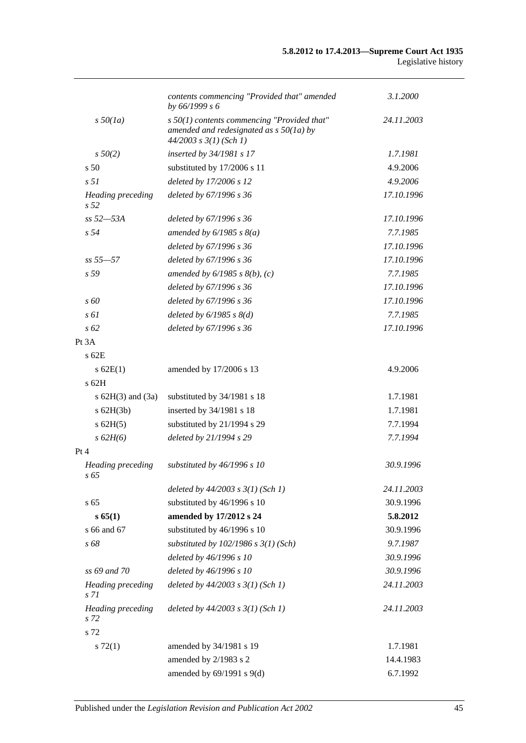|                                          | contents commencing "Provided that" amended<br>by 66/1999 s 6                                                            | 3.1.2000   |
|------------------------------------------|--------------------------------------------------------------------------------------------------------------------------|------------|
| $s\,50(1a)$                              | $s$ 50(1) contents commencing "Provided that"<br>amended and redesignated as $s$ 50(1a) by<br>$44/2003$ s $3(1)$ (Sch 1) | 24.11.2003 |
| $s\,50(2)$                               | inserted by 34/1981 s 17                                                                                                 | 1.7.1981   |
| s <sub>50</sub>                          | substituted by 17/2006 s 11                                                                                              | 4.9.2006   |
| s <sub>51</sub>                          | deleted by 17/2006 s 12                                                                                                  | 4.9.2006   |
| Heading preceding<br>s <sub>52</sub>     | deleted by 67/1996 s 36                                                                                                  | 17.10.1996 |
| $ss 52 - 53A$                            | deleted by 67/1996 s 36                                                                                                  | 17.10.1996 |
| s <sub>54</sub>                          | amended by $6/1985$ s $8(a)$                                                                                             | 7.7.1985   |
|                                          | deleted by 67/1996 s 36                                                                                                  | 17.10.1996 |
| $ss 55 - 57$                             | deleted by 67/1996 s 36                                                                                                  | 17.10.1996 |
| s 59                                     | amended by $6/1985$ s $8(b)$ , (c)                                                                                       | 7.7.1985   |
|                                          | deleted by 67/1996 s 36                                                                                                  | 17.10.1996 |
| $s\,60$                                  | deleted by 67/1996 s 36                                                                                                  | 17.10.1996 |
| $s \, \delta l$                          | deleted by $6/1985$ s $8(d)$                                                                                             | 7.7.1985   |
| $s\,62$                                  | deleted by 67/1996 s 36                                                                                                  | 17.10.1996 |
| Pt 3A                                    |                                                                                                                          |            |
| $s$ 62E                                  |                                                                                                                          |            |
| $s$ 62E(1)                               | amended by 17/2006 s 13                                                                                                  | 4.9.2006   |
| s 62H                                    |                                                                                                                          |            |
| s $62H(3)$ and $(3a)$                    | substituted by 34/1981 s 18                                                                                              | 1.7.1981   |
| $s$ 62H(3b)                              | inserted by 34/1981 s 18                                                                                                 | 1.7.1981   |
| $s$ 62H(5)                               | substituted by 21/1994 s 29                                                                                              | 7.7.1994   |
| s 62H(6)                                 | deleted by 21/1994 s 29                                                                                                  | 7.7.1994   |
| Pt 4                                     |                                                                                                                          |            |
| Heading preceding<br>$s\,65$             | substituted by 46/1996 s 10                                                                                              | 30.9.1996  |
|                                          | deleted by $44/2003$ s $3(1)$ (Sch 1)                                                                                    | 24.11.2003 |
| s <sub>65</sub>                          | substituted by 46/1996 s 10                                                                                              | 30.9.1996  |
| s 65(1)                                  | amended by 17/2012 s 24                                                                                                  | 5.8.2012   |
| s 66 and 67                              | substituted by 46/1996 s 10                                                                                              | 30.9.1996  |
| s 68                                     | substituted by $102/1986$ s $3(1)$ (Sch)                                                                                 | 9.7.1987   |
|                                          | deleted by 46/1996 s 10                                                                                                  | 30.9.1996  |
| ss 69 and 70                             | deleted by 46/1996 s 10                                                                                                  | 30.9.1996  |
| <b>Heading</b> preceding<br>s 71         | deleted by $44/2003$ s $3(1)$ (Sch 1)                                                                                    | 24.11.2003 |
| <b>Heading</b> preceding<br>s 72<br>s 72 | deleted by $44/2003$ s $3(1)$ (Sch 1)                                                                                    | 24.11.2003 |
| $s \, 72(1)$                             | amended by 34/1981 s 19                                                                                                  | 1.7.1981   |
|                                          | amended by 2/1983 s 2                                                                                                    | 14.4.1983  |
|                                          | amended by 69/1991 s 9(d)                                                                                                | 6.7.1992   |
|                                          |                                                                                                                          |            |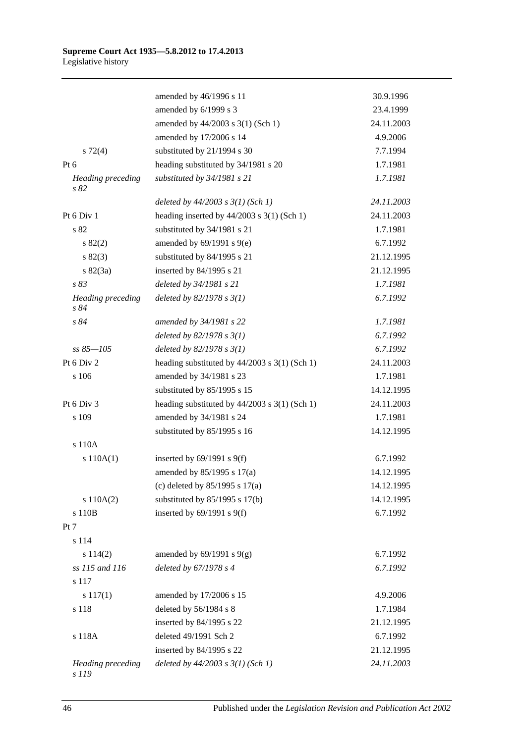|                                   | amended by 46/1996 s 11                           | 30.9.1996  |
|-----------------------------------|---------------------------------------------------|------------|
|                                   | amended by 6/1999 s 3                             | 23.4.1999  |
|                                   | amended by 44/2003 s 3(1) (Sch 1)                 | 24.11.2003 |
|                                   | amended by 17/2006 s 14                           | 4.9.2006   |
| $s \, 72(4)$                      | substituted by 21/1994 s 30                       | 7.7.1994   |
| $Pt\ 6$                           | heading substituted by 34/1981 s 20               | 1.7.1981   |
| <b>Heading</b> preceding<br>s 82  | substituted by 34/1981 s 21                       | 1.7.1981   |
|                                   | deleted by $44/2003$ s $3(1)$ (Sch 1)             | 24.11.2003 |
| Pt 6 Div 1                        | heading inserted by $44/2003$ s 3(1) (Sch 1)      | 24.11.2003 |
| s 82                              | substituted by 34/1981 s 21                       | 1.7.1981   |
| s 82(2)                           | amended by $69/1991$ s $9(e)$                     | 6.7.1992   |
| s 82(3)                           | substituted by 84/1995 s 21                       | 21.12.1995 |
| $s \, 82(3a)$                     | inserted by 84/1995 s 21                          | 21.12.1995 |
| s 83                              | deleted by 34/1981 s 21                           | 1.7.1981   |
| <b>Heading</b> preceding<br>s 84  | deleted by $82/1978 s 3(1)$                       | 6.7.1992   |
| s 84                              | amended by 34/1981 s 22                           | 1.7.1981   |
|                                   | deleted by $82/1978 s 3(1)$                       | 6.7.1992   |
| $ss 85 - 105$                     | deleted by $82/1978 s 3(1)$                       | 6.7.1992   |
| Pt 6 Div 2                        | heading substituted by $44/2003$ s $3(1)$ (Sch 1) | 24.11.2003 |
| s 106                             | amended by 34/1981 s 23                           | 1.7.1981   |
|                                   | substituted by 85/1995 s 15                       | 14.12.1995 |
| Pt 6 Div 3                        | heading substituted by 44/2003 s 3(1) (Sch 1)     | 24.11.2003 |
| s 109                             | amended by 34/1981 s 24                           | 1.7.1981   |
|                                   | substituted by 85/1995 s 16                       | 14.12.1995 |
| s 110A                            |                                                   |            |
| s 110A(1)                         | inserted by $69/1991$ s $9(f)$                    | 6.7.1992   |
|                                   | amended by 85/1995 s 17(a)                        | 14.12.1995 |
|                                   | (c) deleted by $85/1995$ s $17(a)$                | 14.12.1995 |
| s 110A(2)                         | substituted by $85/1995$ s 17(b)                  | 14.12.1995 |
| s 110B                            | inserted by $69/1991$ s $9(f)$                    | 6.7.1992   |
| Pt 7                              |                                                   |            |
| s 114                             |                                                   |            |
| s 114(2)                          | amended by $69/1991$ s $9(g)$                     | 6.7.1992   |
| ss 115 and 116                    | deleted by 67/1978 s 4                            | 6.7.1992   |
| s 117                             |                                                   |            |
| $s\ 117(1)$                       | amended by 17/2006 s 15                           | 4.9.2006   |
| s 118                             | deleted by 56/1984 s 8                            | 1.7.1984   |
|                                   | inserted by 84/1995 s 22                          | 21.12.1995 |
| s 118A                            | deleted 49/1991 Sch 2                             | 6.7.1992   |
|                                   | inserted by 84/1995 s 22                          | 21.12.1995 |
| <b>Heading</b> preceding<br>s 119 | deleted by $44/2003$ s $3(1)$ (Sch 1)             | 24.11.2003 |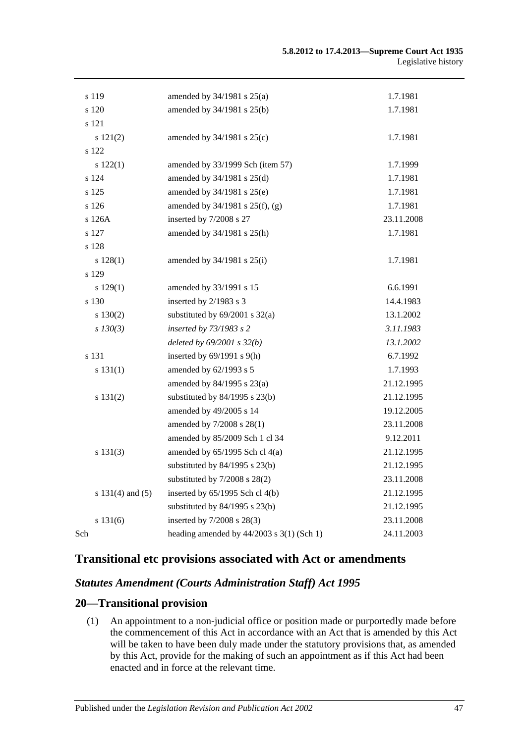| s 119            | amended by $34/1981$ s $25(a)$              | 1.7.1981   |
|------------------|---------------------------------------------|------------|
| s 120            | amended by 34/1981 s 25(b)                  | 1.7.1981   |
| s 121            |                                             |            |
| s 121(2)         | amended by $34/1981$ s $25(c)$              | 1.7.1981   |
| s 122            |                                             |            |
| s 122(1)         | amended by 33/1999 Sch (item 57)            | 1.7.1999   |
| s 124            | amended by 34/1981 s 25(d)                  | 1.7.1981   |
| s 125            | amended by 34/1981 s 25(e)                  | 1.7.1981   |
| s 126            | amended by 34/1981 s 25(f), (g)             | 1.7.1981   |
| s 126A           | inserted by 7/2008 s 27                     | 23.11.2008 |
| s 127            | amended by 34/1981 s 25(h)                  | 1.7.1981   |
| s 128            |                                             |            |
| s 128(1)         | amended by 34/1981 s 25(i)                  | 1.7.1981   |
| s 129            |                                             |            |
| s 129(1)         | amended by 33/1991 s 15                     | 6.6.1991   |
| s 130            | inserted by 2/1983 s 3                      | 14.4.1983  |
| s 130(2)         | substituted by $69/2001$ s $32(a)$          | 13.1.2002  |
| $s$ 130(3)       | inserted by 73/1983 s 2                     | 3.11.1983  |
|                  | deleted by $69/2001 s 32(b)$                | 13.1.2002  |
| s 131            | inserted by $69/1991$ s $9(h)$              | 6.7.1992   |
| s 131(1)         | amended by 62/1993 s 5                      | 1.7.1993   |
|                  | amended by 84/1995 s 23(a)                  | 21.12.1995 |
| s 131(2)         | substituted by 84/1995 s 23(b)              | 21.12.1995 |
|                  | amended by 49/2005 s 14                     | 19.12.2005 |
|                  | amended by 7/2008 s 28(1)                   | 23.11.2008 |
|                  | amended by 85/2009 Sch 1 cl 34              | 9.12.2011  |
| s 131(3)         | amended by $65/1995$ Sch cl $4(a)$          | 21.12.1995 |
|                  | substituted by $84/1995$ s $23(b)$          | 21.12.1995 |
|                  | substituted by $7/2008$ s $28(2)$           | 23.11.2008 |
| s 131(4) and (5) | inserted by 65/1995 Sch cl 4(b)             | 21.12.1995 |
|                  | substituted by 84/1995 s 23(b)              | 21.12.1995 |
| s 131(6)         | inserted by 7/2008 s 28(3)                  | 23.11.2008 |
| Sch              | heading amended by $44/2003$ s 3(1) (Sch 1) | 24.11.2003 |

# **Transitional etc provisions associated with Act or amendments**

## *Statutes Amendment (Courts Administration Staff) Act 1995*

#### **20—Transitional provision**

(1) An appointment to a non-judicial office or position made or purportedly made before the commencement of this Act in accordance with an Act that is amended by this Act will be taken to have been duly made under the statutory provisions that, as amended by this Act, provide for the making of such an appointment as if this Act had been enacted and in force at the relevant time.